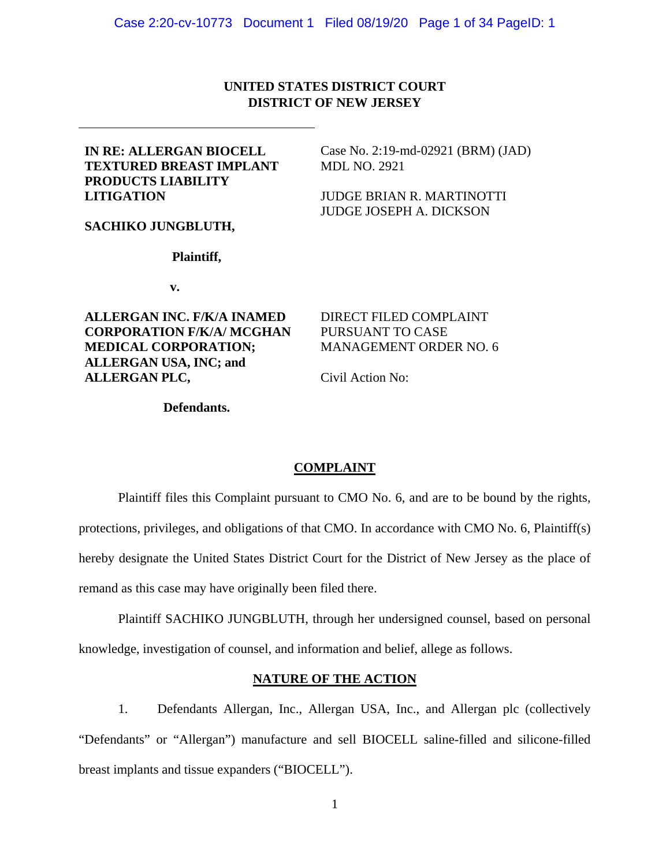# **UNITED STATES DISTRICT COURT DISTRICT OF NEW JERSEY**

## **IN RE: ALLERGAN BIOCELL TEXTURED BREAST IMPLANT PRODUCTS LIABILITY LITIGATION**

Case No. 2:19-md-02921 (BRM) (JAD) MDL NO. 2921

JUDGE BRIAN R. MARTINOTTI JUDGE JOSEPH A. DICKSON

### **SACHIKO JUNGBLUTH,**

### **Plaintiff,**

**v.** 

**ALLERGAN INC. F/K/A INAMED CORPORATION F/K/A/ MCGHAN MEDICAL CORPORATION; ALLERGAN USA, INC; and ALLERGAN PLC,**

DIRECT FILED COMPLAINT PURSUANT TO CASE MANAGEMENT ORDER NO. 6

Civil Action No:

### **Defendants.**

### **COMPLAINT**

Plaintiff files this Complaint pursuant to CMO No. 6, and are to be bound by the rights, protections, privileges, and obligations of that CMO. In accordance with CMO No. 6, Plaintiff(s) hereby designate the United States District Court for the District of New Jersey as the place of remand as this case may have originally been filed there.

Plaintiff SACHIKO JUNGBLUTH, through her undersigned counsel, based on personal knowledge, investigation of counsel, and information and belief, allege as follows.

# **NATURE OF THE ACTION**

1. Defendants Allergan, Inc., Allergan USA, Inc., and Allergan plc (collectively "Defendants" or "Allergan") manufacture and sell BIOCELL saline-filled and silicone-filled breast implants and tissue expanders ("BIOCELL").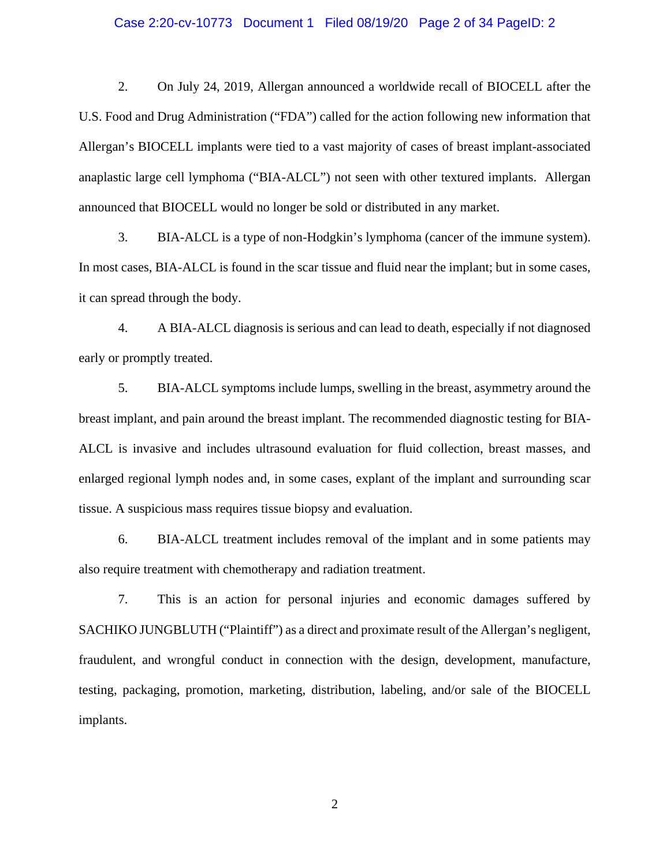### Case 2:20-cv-10773 Document 1 Filed 08/19/20 Page 2 of 34 PageID: 2

2. On July 24, 2019, Allergan announced a worldwide recall of BIOCELL after the U.S. Food and Drug Administration ("FDA") called for the action following new information that Allergan's BIOCELL implants were tied to a vast majority of cases of breast implant-associated anaplastic large cell lymphoma ("BIA-ALCL") not seen with other textured implants. Allergan announced that BIOCELL would no longer be sold or distributed in any market.

3. BIA-ALCL is a type of non-Hodgkin's lymphoma (cancer of the immune system). In most cases, BIA-ALCL is found in the scar tissue and fluid near the implant; but in some cases, it can spread through the body.

4. A BIA-ALCL diagnosis is serious and can lead to death, especially if not diagnosed early or promptly treated.

5. BIA-ALCL symptoms include lumps, swelling in the breast, asymmetry around the breast implant, and pain around the breast implant. The recommended diagnostic testing for BIA-ALCL is invasive and includes ultrasound evaluation for fluid collection, breast masses, and enlarged regional lymph nodes and, in some cases, explant of the implant and surrounding scar tissue. A suspicious mass requires tissue biopsy and evaluation.

6. BIA-ALCL treatment includes removal of the implant and in some patients may also require treatment with chemotherapy and radiation treatment.

7. This is an action for personal injuries and economic damages suffered by SACHIKO JUNGBLUTH ("Plaintiff") as a direct and proximate result of the Allergan's negligent, fraudulent, and wrongful conduct in connection with the design, development, manufacture, testing, packaging, promotion, marketing, distribution, labeling, and/or sale of the BIOCELL implants.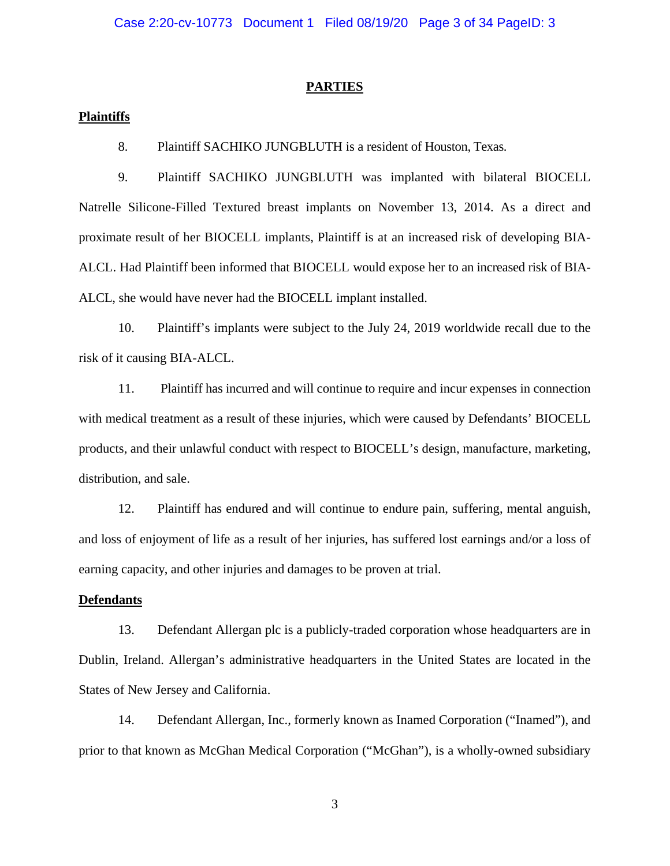#### **PARTIES**

### **Plaintiffs**

8. Plaintiff SACHIKO JUNGBLUTH is a resident of Houston, Texas.

9. Plaintiff SACHIKO JUNGBLUTH was implanted with bilateral BIOCELL Natrelle Silicone-Filled Textured breast implants on November 13, 2014. As a direct and proximate result of her BIOCELL implants, Plaintiff is at an increased risk of developing BIA-ALCL. Had Plaintiff been informed that BIOCELL would expose her to an increased risk of BIA-ALCL, she would have never had the BIOCELL implant installed.

10. Plaintiff's implants were subject to the July 24, 2019 worldwide recall due to the risk of it causing BIA-ALCL.

11. Plaintiff has incurred and will continue to require and incur expenses in connection with medical treatment as a result of these injuries, which were caused by Defendants' BIOCELL products, and their unlawful conduct with respect to BIOCELL's design, manufacture, marketing, distribution, and sale.

12. Plaintiff has endured and will continue to endure pain, suffering, mental anguish, and loss of enjoyment of life as a result of her injuries, has suffered lost earnings and/or a loss of earning capacity, and other injuries and damages to be proven at trial.

#### **Defendants**

13. Defendant Allergan plc is a publicly-traded corporation whose headquarters are in Dublin, Ireland. Allergan's administrative headquarters in the United States are located in the States of New Jersey and California.

14. Defendant Allergan, Inc., formerly known as Inamed Corporation ("Inamed"), and prior to that known as McGhan Medical Corporation ("McGhan"), is a wholly-owned subsidiary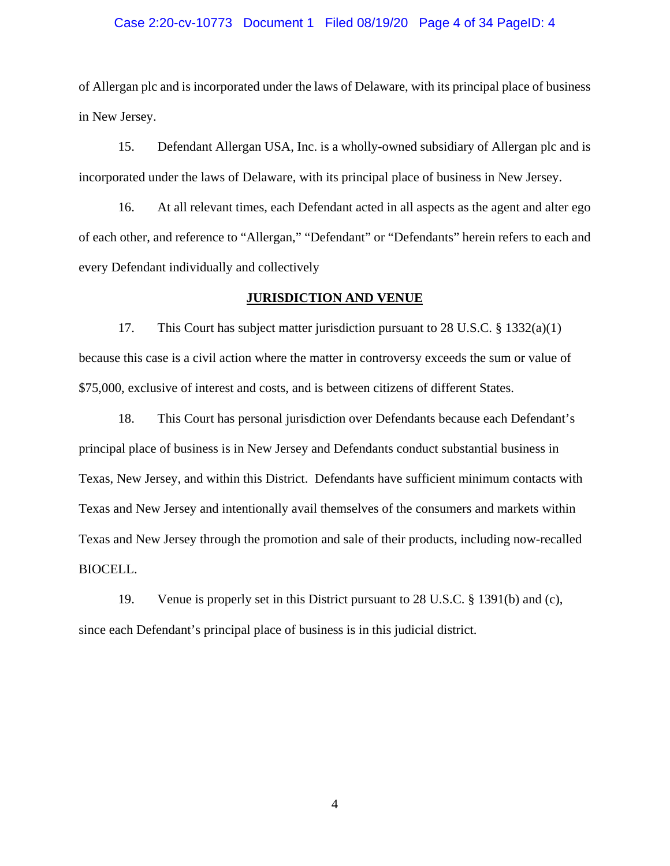### Case 2:20-cv-10773 Document 1 Filed 08/19/20 Page 4 of 34 PageID: 4

of Allergan plc and is incorporated under the laws of Delaware, with its principal place of business in New Jersey.

15. Defendant Allergan USA, Inc. is a wholly-owned subsidiary of Allergan plc and is incorporated under the laws of Delaware, with its principal place of business in New Jersey.

16. At all relevant times, each Defendant acted in all aspects as the agent and alter ego of each other, and reference to "Allergan," "Defendant" or "Defendants" herein refers to each and every Defendant individually and collectively

### **JURISDICTION AND VENUE**

17. This Court has subject matter jurisdiction pursuant to 28 U.S.C. § 1332(a)(1) because this case is a civil action where the matter in controversy exceeds the sum or value of \$75,000, exclusive of interest and costs, and is between citizens of different States.

18. This Court has personal jurisdiction over Defendants because each Defendant's principal place of business is in New Jersey and Defendants conduct substantial business in Texas, New Jersey, and within this District. Defendants have sufficient minimum contacts with Texas and New Jersey and intentionally avail themselves of the consumers and markets within Texas and New Jersey through the promotion and sale of their products, including now-recalled BIOCELL.

19. Venue is properly set in this District pursuant to 28 U.S.C. § 1391(b) and (c), since each Defendant's principal place of business is in this judicial district.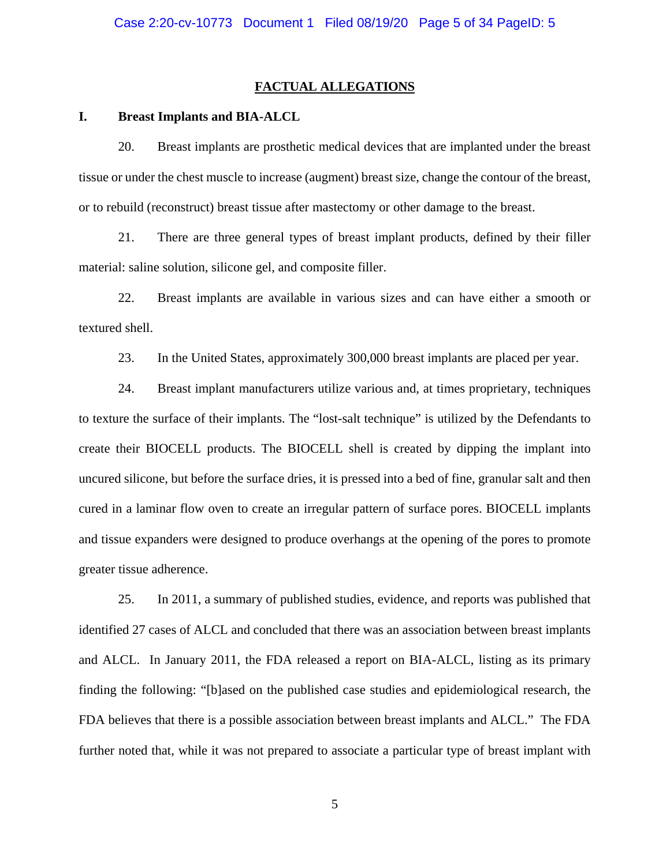### **FACTUAL ALLEGATIONS**

### **I. Breast Implants and BIA-ALCL**

20. Breast implants are prosthetic medical devices that are implanted under the breast tissue or under the chest muscle to increase (augment) breast size, change the contour of the breast, or to rebuild (reconstruct) breast tissue after mastectomy or other damage to the breast.

21. There are three general types of breast implant products, defined by their filler material: saline solution, silicone gel, and composite filler.

22. Breast implants are available in various sizes and can have either a smooth or textured shell.

23. In the United States, approximately 300,000 breast implants are placed per year.

24. Breast implant manufacturers utilize various and, at times proprietary, techniques to texture the surface of their implants. The "lost-salt technique" is utilized by the Defendants to create their BIOCELL products. The BIOCELL shell is created by dipping the implant into uncured silicone, but before the surface dries, it is pressed into a bed of fine, granular salt and then cured in a laminar flow oven to create an irregular pattern of surface pores. BIOCELL implants and tissue expanders were designed to produce overhangs at the opening of the pores to promote greater tissue adherence.

25. In 2011, a summary of published studies, evidence, and reports was published that identified 27 cases of ALCL and concluded that there was an association between breast implants and ALCL. In January 2011, the FDA released a report on BIA-ALCL, listing as its primary finding the following: "[b]ased on the published case studies and epidemiological research, the FDA believes that there is a possible association between breast implants and ALCL." The FDA further noted that, while it was not prepared to associate a particular type of breast implant with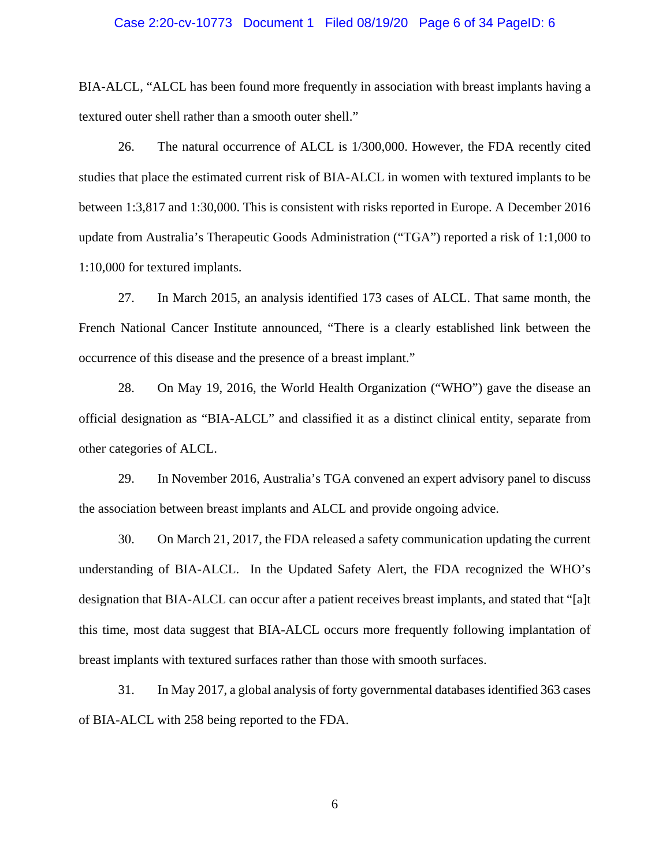### Case 2:20-cv-10773 Document 1 Filed 08/19/20 Page 6 of 34 PageID: 6

BIA-ALCL, "ALCL has been found more frequently in association with breast implants having a textured outer shell rather than a smooth outer shell."

26. The natural occurrence of ALCL is 1/300,000. However, the FDA recently cited studies that place the estimated current risk of BIA-ALCL in women with textured implants to be between 1:3,817 and 1:30,000. This is consistent with risks reported in Europe. A December 2016 update from Australia's Therapeutic Goods Administration ("TGA") reported a risk of 1:1,000 to 1:10,000 for textured implants.

27. In March 2015, an analysis identified 173 cases of ALCL. That same month, the French National Cancer Institute announced, "There is a clearly established link between the occurrence of this disease and the presence of a breast implant."

28. On May 19, 2016, the World Health Organization ("WHO") gave the disease an official designation as "BIA-ALCL" and classified it as a distinct clinical entity, separate from other categories of ALCL.

29. In November 2016, Australia's TGA convened an expert advisory panel to discuss the association between breast implants and ALCL and provide ongoing advice.

30. On March 21, 2017, the FDA released a safety communication updating the current understanding of BIA-ALCL. In the Updated Safety Alert, the FDA recognized the WHO's designation that BIA-ALCL can occur after a patient receives breast implants, and stated that "[a]t this time, most data suggest that BIA-ALCL occurs more frequently following implantation of breast implants with textured surfaces rather than those with smooth surfaces.

31. In May 2017, a global analysis of forty governmental databases identified 363 cases of BIA-ALCL with 258 being reported to the FDA.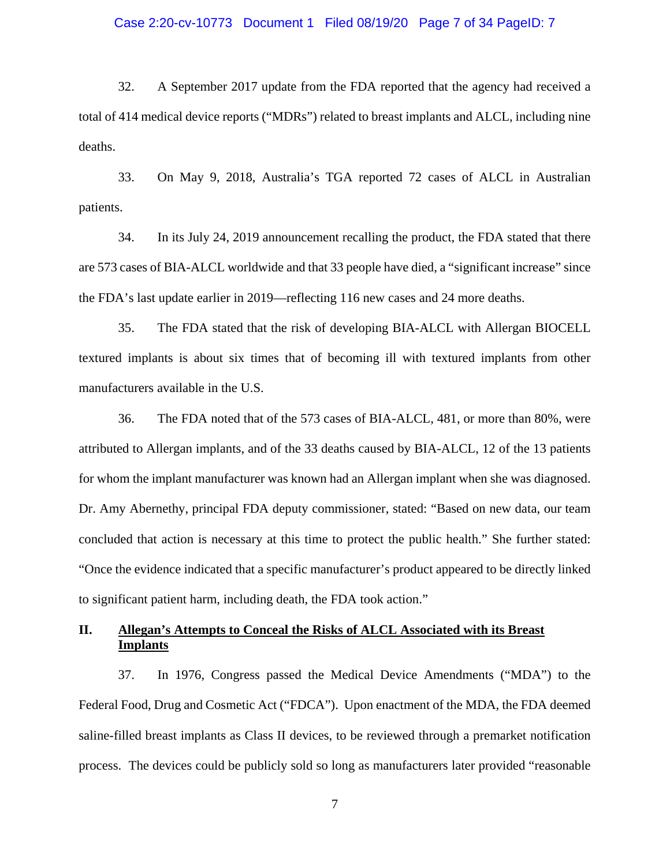### Case 2:20-cv-10773 Document 1 Filed 08/19/20 Page 7 of 34 PageID: 7

32. A September 2017 update from the FDA reported that the agency had received a total of 414 medical device reports ("MDRs") related to breast implants and ALCL, including nine deaths.

33. On May 9, 2018, Australia's TGA reported 72 cases of ALCL in Australian patients.

34. In its July 24, 2019 announcement recalling the product, the FDA stated that there are 573 cases of BIA-ALCL worldwide and that 33 people have died, a "significant increase" since the FDA's last update earlier in 2019—reflecting 116 new cases and 24 more deaths.

35. The FDA stated that the risk of developing BIA-ALCL with Allergan BIOCELL textured implants is about six times that of becoming ill with textured implants from other manufacturers available in the U.S.

36. The FDA noted that of the 573 cases of BIA-ALCL, 481, or more than 80%, were attributed to Allergan implants, and of the 33 deaths caused by BIA-ALCL, 12 of the 13 patients for whom the implant manufacturer was known had an Allergan implant when she was diagnosed. Dr. Amy Abernethy, principal FDA deputy commissioner, stated: "Based on new data, our team concluded that action is necessary at this time to protect the public health." She further stated: "Once the evidence indicated that a specific manufacturer's product appeared to be directly linked to significant patient harm, including death, the FDA took action."

# **II. Allegan's Attempts to Conceal the Risks of ALCL Associated with its Breast Implants**

37. In 1976, Congress passed the Medical Device Amendments ("MDA") to the Federal Food, Drug and Cosmetic Act ("FDCA"). Upon enactment of the MDA, the FDA deemed saline-filled breast implants as Class II devices, to be reviewed through a premarket notification process. The devices could be publicly sold so long as manufacturers later provided "reasonable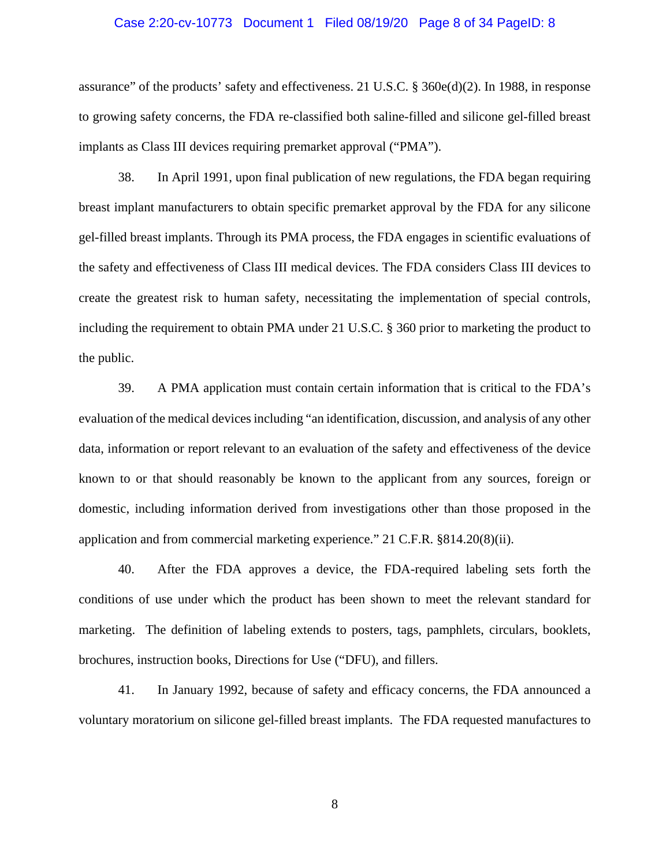### Case 2:20-cv-10773 Document 1 Filed 08/19/20 Page 8 of 34 PageID: 8

assurance" of the products' safety and effectiveness. 21 U.S.C. § 360e(d)(2). In 1988, in response to growing safety concerns, the FDA re-classified both saline-filled and silicone gel-filled breast implants as Class III devices requiring premarket approval ("PMA").

38. In April 1991, upon final publication of new regulations, the FDA began requiring breast implant manufacturers to obtain specific premarket approval by the FDA for any silicone gel-filled breast implants. Through its PMA process, the FDA engages in scientific evaluations of the safety and effectiveness of Class III medical devices. The FDA considers Class III devices to create the greatest risk to human safety, necessitating the implementation of special controls, including the requirement to obtain PMA under 21 U.S.C. § 360 prior to marketing the product to the public.

39. A PMA application must contain certain information that is critical to the FDA's evaluation of the medical devices including "an identification, discussion, and analysis of any other data, information or report relevant to an evaluation of the safety and effectiveness of the device known to or that should reasonably be known to the applicant from any sources, foreign or domestic, including information derived from investigations other than those proposed in the application and from commercial marketing experience." 21 C.F.R. §814.20(8)(ii).

40. After the FDA approves a device, the FDA-required labeling sets forth the conditions of use under which the product has been shown to meet the relevant standard for marketing. The definition of labeling extends to posters, tags, pamphlets, circulars, booklets, brochures, instruction books, Directions for Use ("DFU), and fillers.

41. In January 1992, because of safety and efficacy concerns, the FDA announced a voluntary moratorium on silicone gel-filled breast implants. The FDA requested manufactures to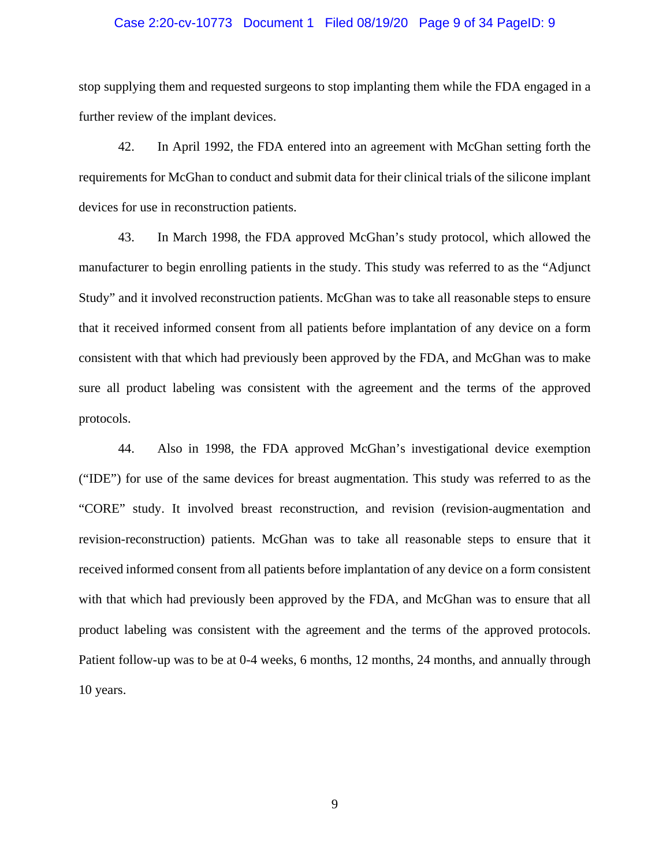#### Case 2:20-cv-10773 Document 1 Filed 08/19/20 Page 9 of 34 PageID: 9

stop supplying them and requested surgeons to stop implanting them while the FDA engaged in a further review of the implant devices.

42. In April 1992, the FDA entered into an agreement with McGhan setting forth the requirements for McGhan to conduct and submit data for their clinical trials of the silicone implant devices for use in reconstruction patients.

43. In March 1998, the FDA approved McGhan's study protocol, which allowed the manufacturer to begin enrolling patients in the study. This study was referred to as the "Adjunct Study" and it involved reconstruction patients. McGhan was to take all reasonable steps to ensure that it received informed consent from all patients before implantation of any device on a form consistent with that which had previously been approved by the FDA, and McGhan was to make sure all product labeling was consistent with the agreement and the terms of the approved protocols.

44. Also in 1998, the FDA approved McGhan's investigational device exemption ("IDE") for use of the same devices for breast augmentation. This study was referred to as the "CORE" study. It involved breast reconstruction, and revision (revision-augmentation and revision-reconstruction) patients. McGhan was to take all reasonable steps to ensure that it received informed consent from all patients before implantation of any device on a form consistent with that which had previously been approved by the FDA, and McGhan was to ensure that all product labeling was consistent with the agreement and the terms of the approved protocols. Patient follow-up was to be at 0-4 weeks, 6 months, 12 months, 24 months, and annually through 10 years.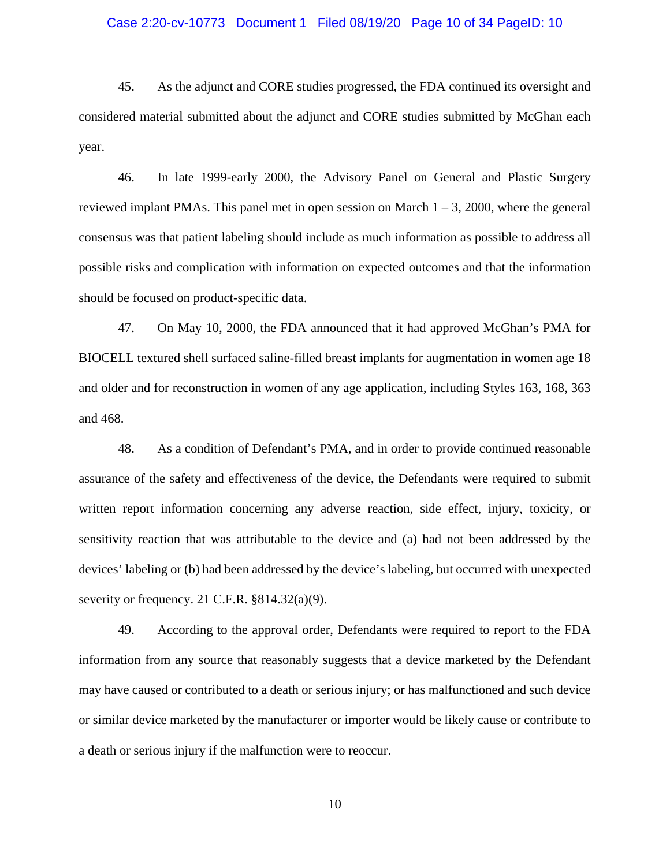### Case 2:20-cv-10773 Document 1 Filed 08/19/20 Page 10 of 34 PageID: 10

45. As the adjunct and CORE studies progressed, the FDA continued its oversight and considered material submitted about the adjunct and CORE studies submitted by McGhan each year.

46. In late 1999-early 2000, the Advisory Panel on General and Plastic Surgery reviewed implant PMAs. This panel met in open session on March  $1 - 3$ , 2000, where the general consensus was that patient labeling should include as much information as possible to address all possible risks and complication with information on expected outcomes and that the information should be focused on product-specific data.

47. On May 10, 2000, the FDA announced that it had approved McGhan's PMA for BIOCELL textured shell surfaced saline-filled breast implants for augmentation in women age 18 and older and for reconstruction in women of any age application, including Styles 163, 168, 363 and 468.

48. As a condition of Defendant's PMA, and in order to provide continued reasonable assurance of the safety and effectiveness of the device, the Defendants were required to submit written report information concerning any adverse reaction, side effect, injury, toxicity, or sensitivity reaction that was attributable to the device and (a) had not been addressed by the devices' labeling or (b) had been addressed by the device's labeling, but occurred with unexpected severity or frequency. 21 C.F.R. §814.32(a)(9).

49. According to the approval order, Defendants were required to report to the FDA information from any source that reasonably suggests that a device marketed by the Defendant may have caused or contributed to a death or serious injury; or has malfunctioned and such device or similar device marketed by the manufacturer or importer would be likely cause or contribute to a death or serious injury if the malfunction were to reoccur.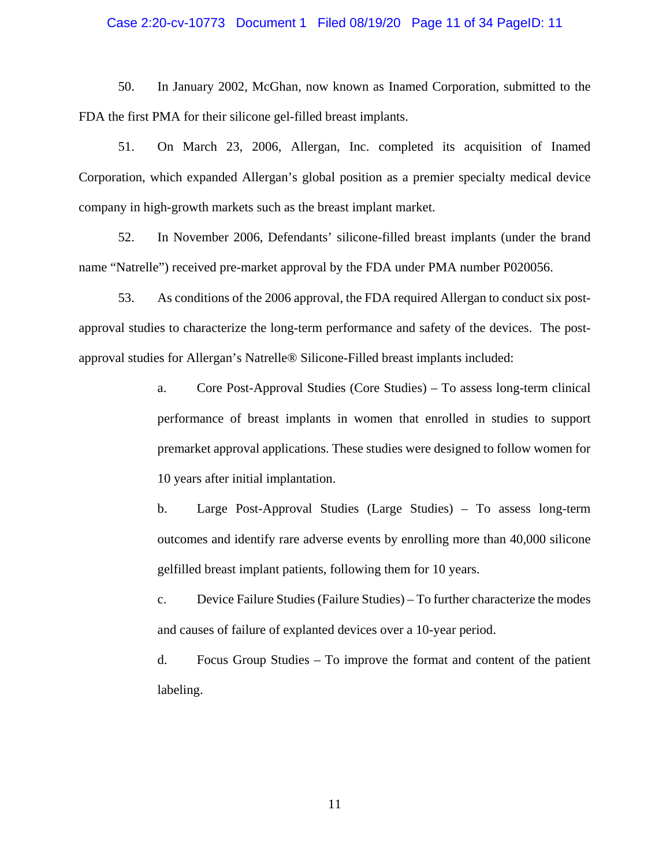### Case 2:20-cv-10773 Document 1 Filed 08/19/20 Page 11 of 34 PageID: 11

50. In January 2002, McGhan, now known as Inamed Corporation, submitted to the FDA the first PMA for their silicone gel-filled breast implants.

51. On March 23, 2006, Allergan, Inc. completed its acquisition of Inamed Corporation, which expanded Allergan's global position as a premier specialty medical device company in high-growth markets such as the breast implant market.

52. In November 2006, Defendants' silicone-filled breast implants (under the brand name "Natrelle") received pre-market approval by the FDA under PMA number P020056.

53. As conditions of the 2006 approval, the FDA required Allergan to conduct six postapproval studies to characterize the long-term performance and safety of the devices. The postapproval studies for Allergan's Natrelle® Silicone-Filled breast implants included:

> a. Core Post-Approval Studies (Core Studies) – To assess long-term clinical performance of breast implants in women that enrolled in studies to support premarket approval applications. These studies were designed to follow women for 10 years after initial implantation.

> b. Large Post-Approval Studies (Large Studies) – To assess long-term outcomes and identify rare adverse events by enrolling more than 40,000 silicone gelfilled breast implant patients, following them for 10 years.

> c. Device Failure Studies (Failure Studies) – To further characterize the modes and causes of failure of explanted devices over a 10-year period.

> d. Focus Group Studies – To improve the format and content of the patient labeling.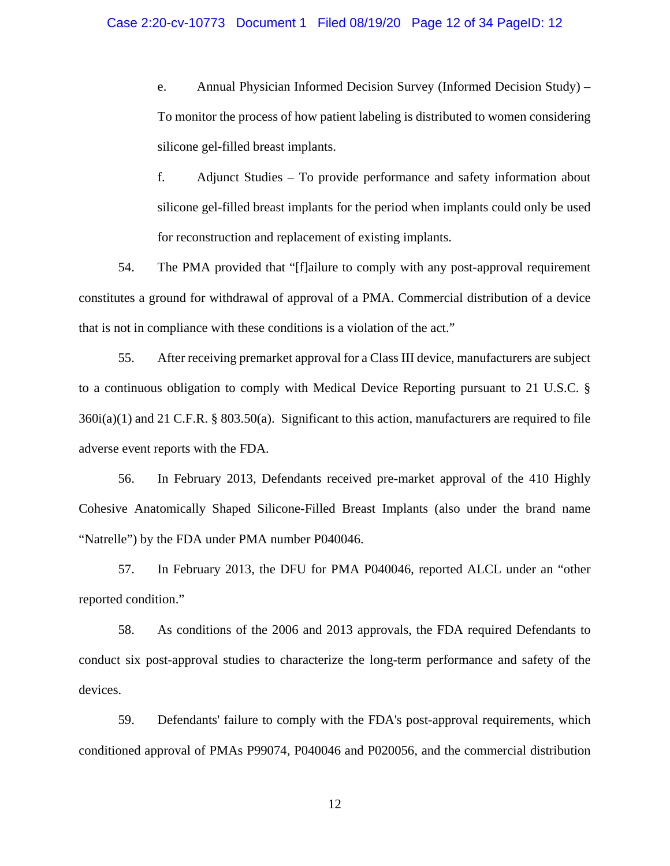### Case 2:20-cv-10773 Document 1 Filed 08/19/20 Page 12 of 34 PageID: 12

e. Annual Physician Informed Decision Survey (Informed Decision Study) – To monitor the process of how patient labeling is distributed to women considering silicone gel-filled breast implants.

f. Adjunct Studies – To provide performance and safety information about silicone gel-filled breast implants for the period when implants could only be used for reconstruction and replacement of existing implants.

54. The PMA provided that "[f]ailure to comply with any post-approval requirement constitutes a ground for withdrawal of approval of a PMA. Commercial distribution of a device that is not in compliance with these conditions is a violation of the act."

55. After receiving premarket approval for a Class III device, manufacturers are subject to a continuous obligation to comply with Medical Device Reporting pursuant to 21 U.S.C. §  $360i(a)(1)$  and 21 C.F.R. § 803.50(a). Significant to this action, manufacturers are required to file adverse event reports with the FDA.

56. In February 2013, Defendants received pre-market approval of the 410 Highly Cohesive Anatomically Shaped Silicone-Filled Breast Implants (also under the brand name "Natrelle") by the FDA under PMA number P040046.

57. In February 2013, the DFU for PMA P040046, reported ALCL under an "other reported condition."

58. As conditions of the 2006 and 2013 approvals, the FDA required Defendants to conduct six post-approval studies to characterize the long-term performance and safety of the devices.

59. Defendants' failure to comply with the FDA's post-approval requirements, which conditioned approval of PMAs P99074, P040046 and P020056, and the commercial distribution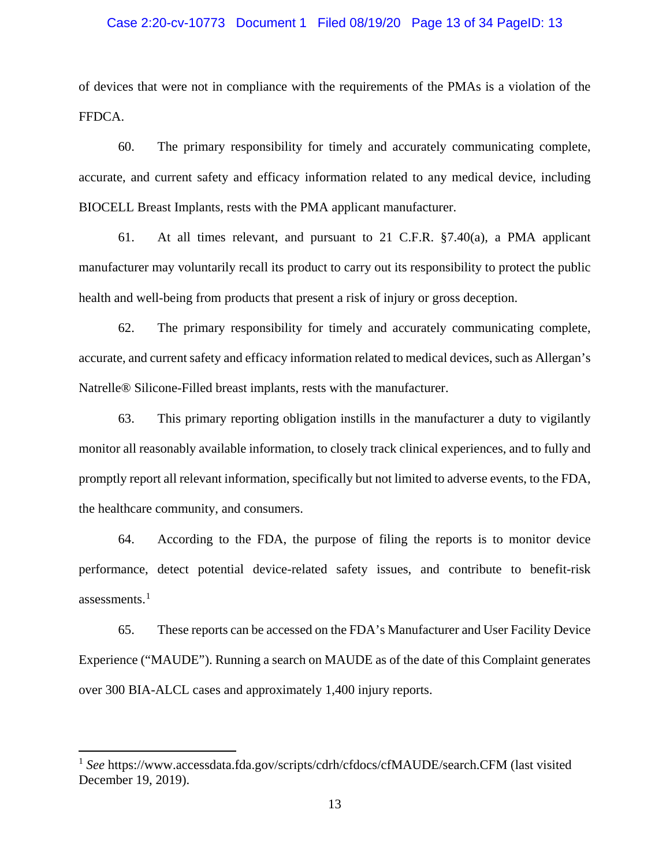### Case 2:20-cv-10773 Document 1 Filed 08/19/20 Page 13 of 34 PageID: 13

of devices that were not in compliance with the requirements of the PMAs is a violation of the FFDCA.

60. The primary responsibility for timely and accurately communicating complete, accurate, and current safety and efficacy information related to any medical device, including BIOCELL Breast Implants, rests with the PMA applicant manufacturer.

61. At all times relevant, and pursuant to 21 C.F.R.  $\S$ 7.40(a), a PMA applicant manufacturer may voluntarily recall its product to carry out its responsibility to protect the public health and well-being from products that present a risk of injury or gross deception.

62. The primary responsibility for timely and accurately communicating complete, accurate, and current safety and efficacy information related to medical devices, such as Allergan's Natrelle® Silicone-Filled breast implants, rests with the manufacturer.

63. This primary reporting obligation instills in the manufacturer a duty to vigilantly monitor all reasonably available information, to closely track clinical experiences, and to fully and promptly report all relevant information, specifically but not limited to adverse events, to the FDA, the healthcare community, and consumers.

64. According to the FDA, the purpose of filing the reports is to monitor device performance, detect potential device-related safety issues, and contribute to benefit-risk assessments. $<sup>1</sup>$  $<sup>1</sup>$  $<sup>1</sup>$ </sup>

65. These reports can be accessed on the FDA's Manufacturer and User Facility Device Experience ("MAUDE"). Running a search on MAUDE as of the date of this Complaint generates over 300 BIA-ALCL cases and approximately 1,400 injury reports.

l

<span id="page-12-0"></span><sup>1</sup> *See* https://www.accessdata.fda.gov/scripts/cdrh/cfdocs/cfMAUDE/search.CFM (last visited December 19, 2019).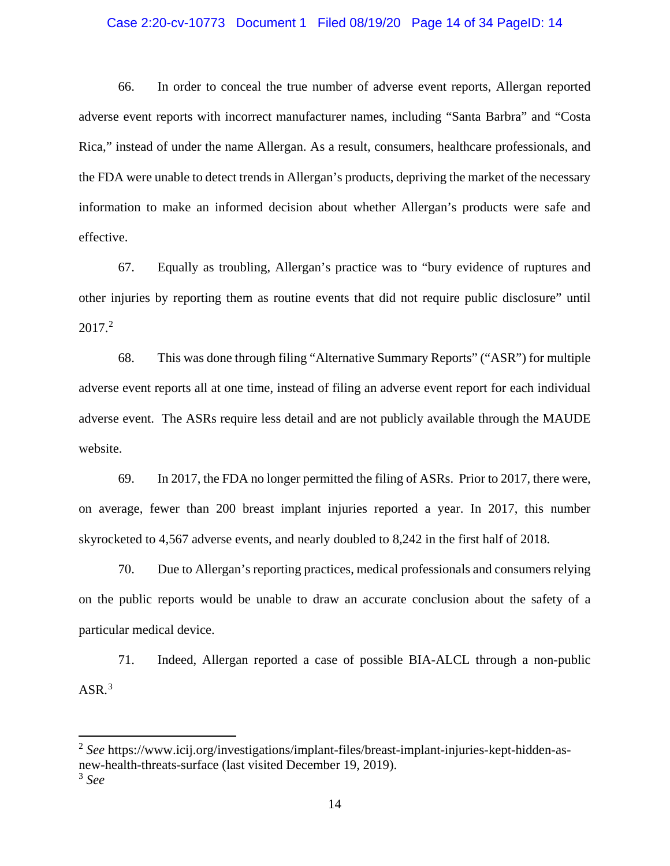### Case 2:20-cv-10773 Document 1 Filed 08/19/20 Page 14 of 34 PageID: 14

66. In order to conceal the true number of adverse event reports, Allergan reported adverse event reports with incorrect manufacturer names, including "Santa Barbra" and "Costa Rica," instead of under the name Allergan. As a result, consumers, healthcare professionals, and the FDA were unable to detect trends in Allergan's products, depriving the market of the necessary information to make an informed decision about whether Allergan's products were safe and effective.

67. Equally as troubling, Allergan's practice was to "bury evidence of ruptures and other injuries by reporting them as routine events that did not require public disclosure" until  $2017.<sup>2</sup>$  $2017.<sup>2</sup>$ 

68. This was done through filing "Alternative Summary Reports" ("ASR") for multiple adverse event reports all at one time, instead of filing an adverse event report for each individual adverse event. The ASRs require less detail and are not publicly available through the MAUDE website.

69. In 2017, the FDA no longer permitted the filing of ASRs. Prior to 2017, there were, on average, fewer than 200 breast implant injuries reported a year. In 2017, this number skyrocketed to 4,567 adverse events, and nearly doubled to 8,242 in the first half of 2018.

70. Due to Allergan's reporting practices, medical professionals and consumers relying on the public reports would be unable to draw an accurate conclusion about the safety of a particular medical device.

71. Indeed, Allergan reported a case of possible BIA-ALCL through a non-public  $ASR.<sup>3</sup>$  $ASR.<sup>3</sup>$  $ASR.<sup>3</sup>$ 

 $\overline{\phantom{a}}$ 

<span id="page-13-1"></span><span id="page-13-0"></span><sup>2</sup> *See* https://www.icij.org/investigations/implant-files/breast-implant-injuries-kept-hidden-asnew-health-threats-surface (last visited December 19, 2019). <sup>3</sup> *See*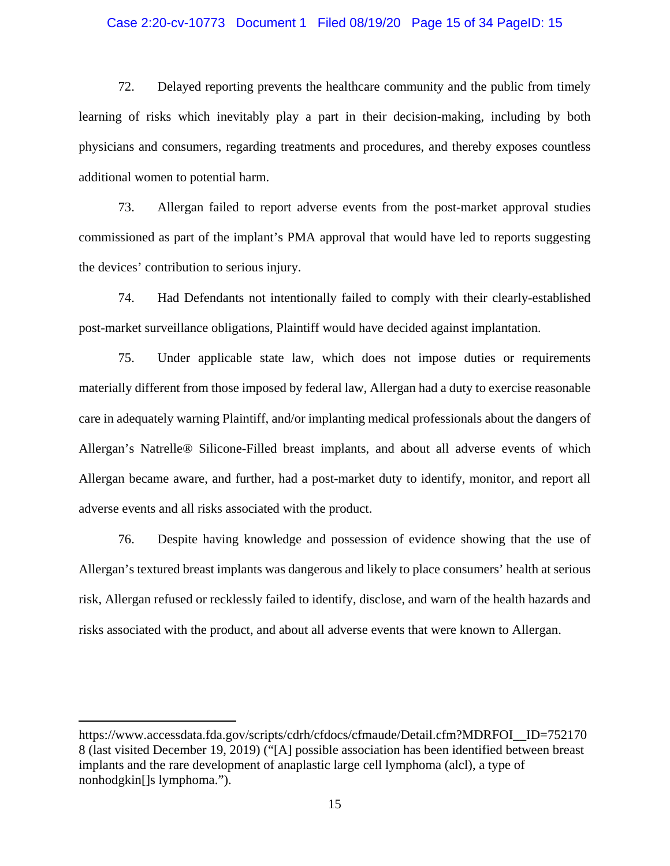### Case 2:20-cv-10773 Document 1 Filed 08/19/20 Page 15 of 34 PageID: 15

72. Delayed reporting prevents the healthcare community and the public from timely learning of risks which inevitably play a part in their decision-making, including by both physicians and consumers, regarding treatments and procedures, and thereby exposes countless additional women to potential harm.

73. Allergan failed to report adverse events from the post-market approval studies commissioned as part of the implant's PMA approval that would have led to reports suggesting the devices' contribution to serious injury.

74. Had Defendants not intentionally failed to comply with their clearly-established post-market surveillance obligations, Plaintiff would have decided against implantation.

75. Under applicable state law, which does not impose duties or requirements materially different from those imposed by federal law, Allergan had a duty to exercise reasonable care in adequately warning Plaintiff, and/or implanting medical professionals about the dangers of Allergan's Natrelle® Silicone-Filled breast implants, and about all adverse events of which Allergan became aware, and further, had a post-market duty to identify, monitor, and report all adverse events and all risks associated with the product.

76. Despite having knowledge and possession of evidence showing that the use of Allergan's textured breast implants was dangerous and likely to place consumers' health at serious risk, Allergan refused or recklessly failed to identify, disclose, and warn of the health hazards and risks associated with the product, and about all adverse events that were known to Allergan.

 $\overline{\phantom{a}}$ 

https://www.accessdata.fda.gov/scripts/cdrh/cfdocs/cfmaude/Detail.cfm?MDRFOI\_\_ID=752170 8 (last visited December 19, 2019) ("[A] possible association has been identified between breast implants and the rare development of anaplastic large cell lymphoma (alcl), a type of nonhodgkin[]s lymphoma.").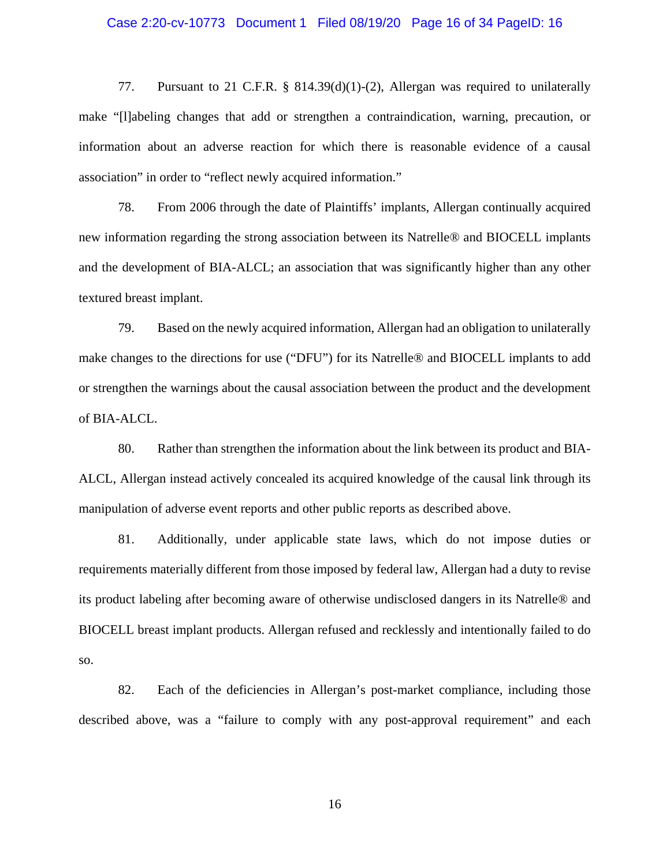### Case 2:20-cv-10773 Document 1 Filed 08/19/20 Page 16 of 34 PageID: 16

77. Pursuant to 21 C.F.R. § 814.39(d)(1)-(2), Allergan was required to unilaterally make "[l]abeling changes that add or strengthen a contraindication, warning, precaution, or information about an adverse reaction for which there is reasonable evidence of a causal association" in order to "reflect newly acquired information."

78. From 2006 through the date of Plaintiffs' implants, Allergan continually acquired new information regarding the strong association between its Natrelle® and BIOCELL implants and the development of BIA-ALCL; an association that was significantly higher than any other textured breast implant.

79. Based on the newly acquired information, Allergan had an obligation to unilaterally make changes to the directions for use ("DFU") for its Natrelle® and BIOCELL implants to add or strengthen the warnings about the causal association between the product and the development of BIA-ALCL.

80. Rather than strengthen the information about the link between its product and BIA-ALCL, Allergan instead actively concealed its acquired knowledge of the causal link through its manipulation of adverse event reports and other public reports as described above.

81. Additionally, under applicable state laws, which do not impose duties or requirements materially different from those imposed by federal law, Allergan had a duty to revise its product labeling after becoming aware of otherwise undisclosed dangers in its Natrelle® and BIOCELL breast implant products. Allergan refused and recklessly and intentionally failed to do so.

82. Each of the deficiencies in Allergan's post-market compliance, including those described above, was a "failure to comply with any post-approval requirement" and each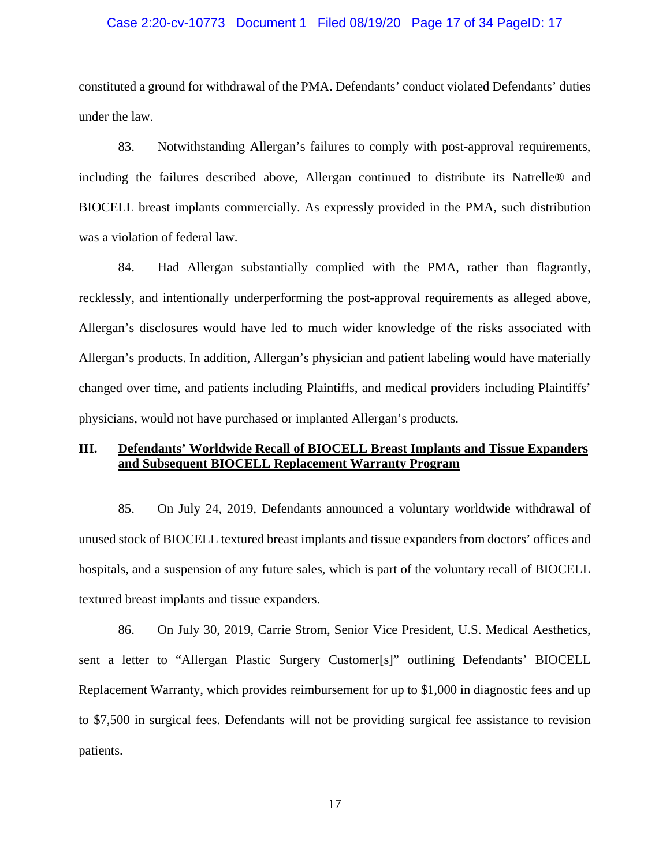### Case 2:20-cv-10773 Document 1 Filed 08/19/20 Page 17 of 34 PageID: 17

constituted a ground for withdrawal of the PMA. Defendants' conduct violated Defendants' duties under the law.

83. Notwithstanding Allergan's failures to comply with post-approval requirements, including the failures described above, Allergan continued to distribute its Natrelle® and BIOCELL breast implants commercially. As expressly provided in the PMA, such distribution was a violation of federal law.

84. Had Allergan substantially complied with the PMA, rather than flagrantly, recklessly, and intentionally underperforming the post-approval requirements as alleged above, Allergan's disclosures would have led to much wider knowledge of the risks associated with Allergan's products. In addition, Allergan's physician and patient labeling would have materially changed over time, and patients including Plaintiffs, and medical providers including Plaintiffs' physicians, would not have purchased or implanted Allergan's products.

# **III. Defendants' Worldwide Recall of BIOCELL Breast Implants and Tissue Expanders and Subsequent BIOCELL Replacement Warranty Program**

85. On July 24, 2019, Defendants announced a voluntary worldwide withdrawal of unused stock of BIOCELL textured breast implants and tissue expanders from doctors' offices and hospitals, and a suspension of any future sales, which is part of the voluntary recall of BIOCELL textured breast implants and tissue expanders.

86. On July 30, 2019, Carrie Strom, Senior Vice President, U.S. Medical Aesthetics, sent a letter to "Allergan Plastic Surgery Customer[s]" outlining Defendants' BIOCELL Replacement Warranty, which provides reimbursement for up to \$1,000 in diagnostic fees and up to \$7,500 in surgical fees. Defendants will not be providing surgical fee assistance to revision patients.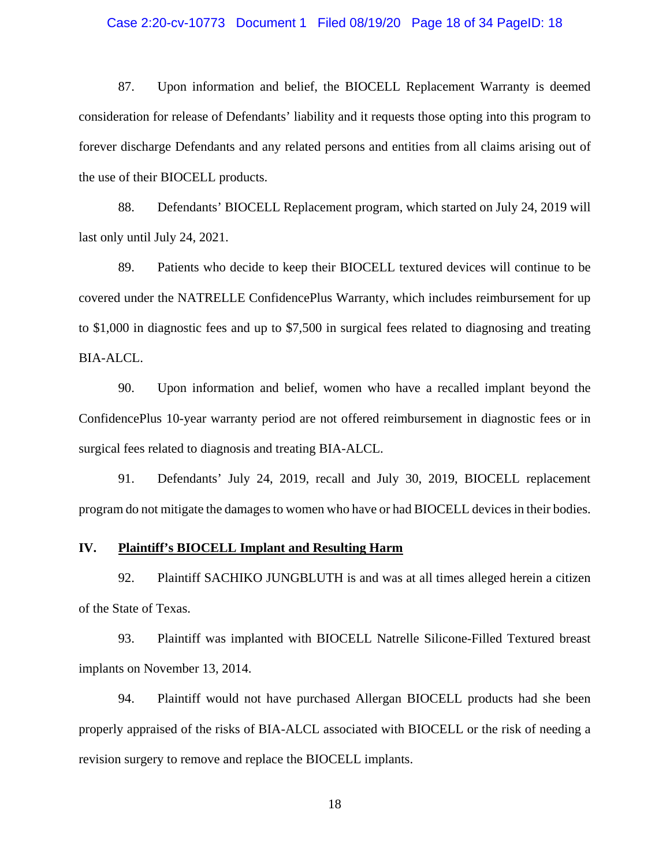### Case 2:20-cv-10773 Document 1 Filed 08/19/20 Page 18 of 34 PageID: 18

87. Upon information and belief, the BIOCELL Replacement Warranty is deemed consideration for release of Defendants' liability and it requests those opting into this program to forever discharge Defendants and any related persons and entities from all claims arising out of the use of their BIOCELL products.

88. Defendants' BIOCELL Replacement program, which started on July 24, 2019 will last only until July 24, 2021.

89. Patients who decide to keep their BIOCELL textured devices will continue to be covered under the NATRELLE ConfidencePlus Warranty, which includes reimbursement for up to \$1,000 in diagnostic fees and up to \$7,500 in surgical fees related to diagnosing and treating BIA-ALCL.

90. Upon information and belief, women who have a recalled implant beyond the ConfidencePlus 10-year warranty period are not offered reimbursement in diagnostic fees or in surgical fees related to diagnosis and treating BIA-ALCL.

91. Defendants' July 24, 2019, recall and July 30, 2019, BIOCELL replacement program do not mitigate the damages to women who have or had BIOCELL devices in their bodies.

# **IV. Plaintiff's BIOCELL Implant and Resulting Harm**

92. Plaintiff SACHIKO JUNGBLUTH is and was at all times alleged herein a citizen of the State of Texas.

93. Plaintiff was implanted with BIOCELL Natrelle Silicone-Filled Textured breast implants on November 13, 2014.

94. Plaintiff would not have purchased Allergan BIOCELL products had she been properly appraised of the risks of BIA-ALCL associated with BIOCELL or the risk of needing a revision surgery to remove and replace the BIOCELL implants.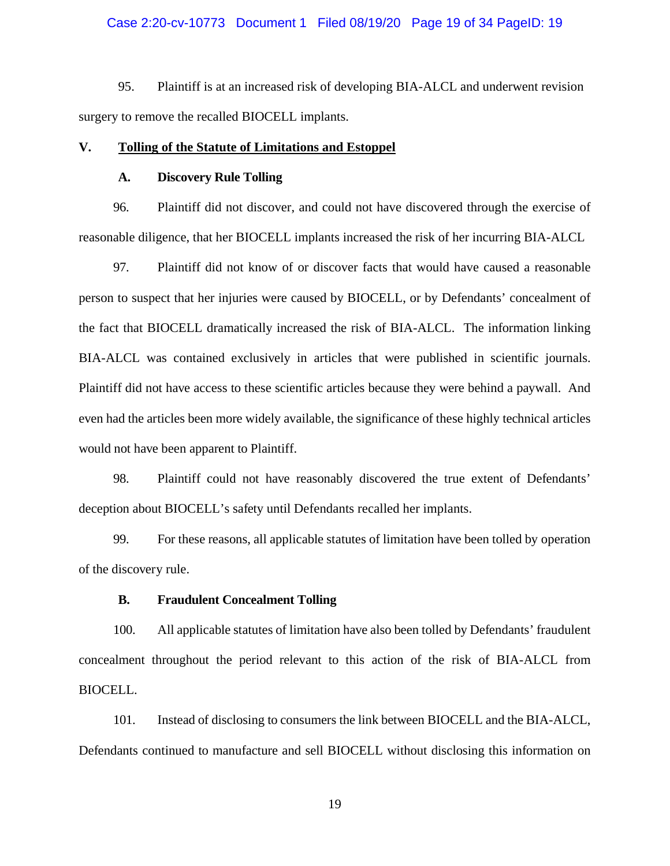### Case 2:20-cv-10773 Document 1 Filed 08/19/20 Page 19 of 34 PageID: 19

95. Plaintiff is at an increased risk of developing BIA-ALCL and underwent revision surgery to remove the recalled BIOCELL implants.

### **V. Tolling of the Statute of Limitations and Estoppel**

### **A. Discovery Rule Tolling**

96. Plaintiff did not discover, and could not have discovered through the exercise of reasonable diligence, that her BIOCELL implants increased the risk of her incurring BIA-ALCL

97. Plaintiff did not know of or discover facts that would have caused a reasonable person to suspect that her injuries were caused by BIOCELL, or by Defendants' concealment of the fact that BIOCELL dramatically increased the risk of BIA-ALCL. The information linking BIA-ALCL was contained exclusively in articles that were published in scientific journals. Plaintiff did not have access to these scientific articles because they were behind a paywall. And even had the articles been more widely available, the significance of these highly technical articles would not have been apparent to Plaintiff.

98. Plaintiff could not have reasonably discovered the true extent of Defendants' deception about BIOCELL's safety until Defendants recalled her implants.

99. For these reasons, all applicable statutes of limitation have been tolled by operation of the discovery rule.

### **B. Fraudulent Concealment Tolling**

100. All applicable statutes of limitation have also been tolled by Defendants' fraudulent concealment throughout the period relevant to this action of the risk of BIA-ALCL from BIOCELL.

101. Instead of disclosing to consumers the link between BIOCELL and the BIA-ALCL, Defendants continued to manufacture and sell BIOCELL without disclosing this information on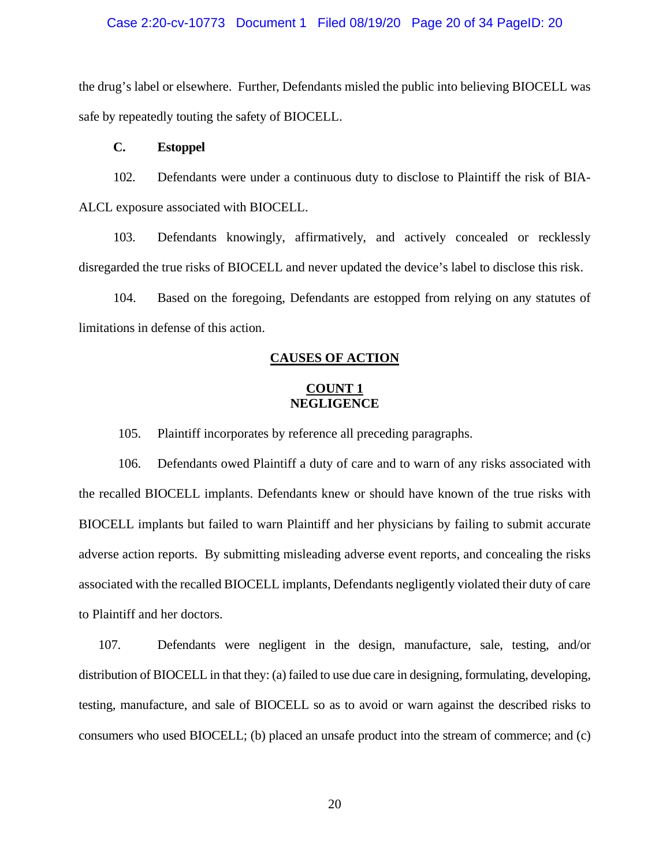### Case 2:20-cv-10773 Document 1 Filed 08/19/20 Page 20 of 34 PageID: 20

the drug's label or elsewhere. Further, Defendants misled the public into believing BIOCELL was safe by repeatedly touting the safety of BIOCELL.

### **C. Estoppel**

102. Defendants were under a continuous duty to disclose to Plaintiff the risk of BIA-ALCL exposure associated with BIOCELL.

103. Defendants knowingly, affirmatively, and actively concealed or recklessly disregarded the true risks of BIOCELL and never updated the device's label to disclose this risk.

104. Based on the foregoing, Defendants are estopped from relying on any statutes of limitations in defense of this action.

### **CAUSES OF ACTION**

### **COUNT 1 NEGLIGENCE**

105. Plaintiff incorporates by reference all preceding paragraphs.

106. Defendants owed Plaintiff a duty of care and to warn of any risks associated with the recalled BIOCELL implants. Defendants knew or should have known of the true risks with BIOCELL implants but failed to warn Plaintiff and her physicians by failing to submit accurate adverse action reports. By submitting misleading adverse event reports, and concealing the risks associated with the recalled BIOCELL implants, Defendants negligently violated their duty of care to Plaintiff and her doctors.

107. Defendants were negligent in the design, manufacture, sale, testing, and/or distribution of BIOCELL in that they: (a) failed to use due care in designing, formulating, developing, testing, manufacture, and sale of BIOCELL so as to avoid or warn against the described risks to consumers who used BIOCELL; (b) placed an unsafe product into the stream of commerce; and (c)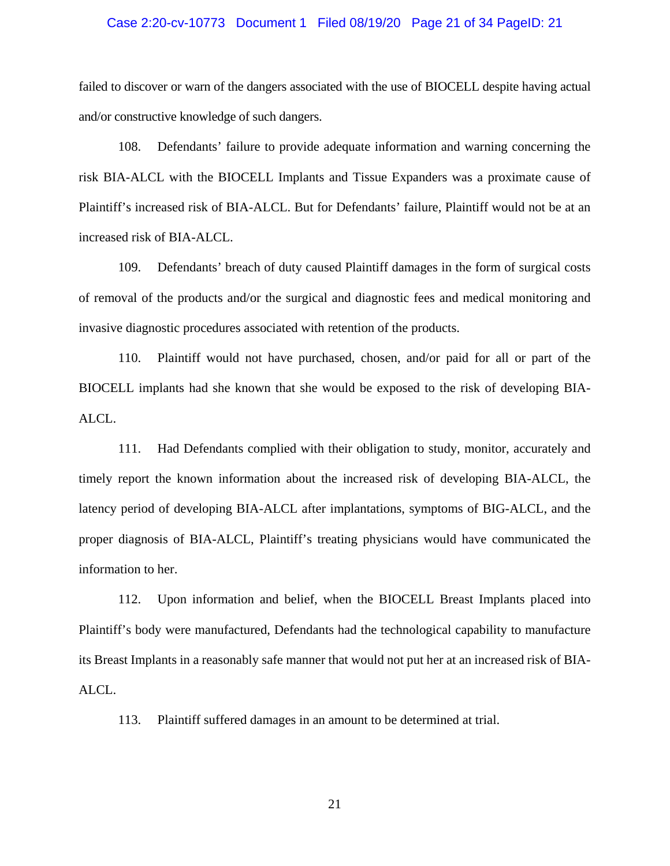### Case 2:20-cv-10773 Document 1 Filed 08/19/20 Page 21 of 34 PageID: 21

failed to discover or warn of the dangers associated with the use of BIOCELL despite having actual and/or constructive knowledge of such dangers.

108. Defendants' failure to provide adequate information and warning concerning the risk BIA-ALCL with the BIOCELL Implants and Tissue Expanders was a proximate cause of Plaintiff's increased risk of BIA-ALCL. But for Defendants' failure, Plaintiff would not be at an increased risk of BIA-ALCL.

109. Defendants' breach of duty caused Plaintiff damages in the form of surgical costs of removal of the products and/or the surgical and diagnostic fees and medical monitoring and invasive diagnostic procedures associated with retention of the products.

110. Plaintiff would not have purchased, chosen, and/or paid for all or part of the BIOCELL implants had she known that she would be exposed to the risk of developing BIA-ALCL.

111. Had Defendants complied with their obligation to study, monitor, accurately and timely report the known information about the increased risk of developing BIA-ALCL, the latency period of developing BIA-ALCL after implantations, symptoms of BIG-ALCL, and the proper diagnosis of BIA-ALCL, Plaintiff's treating physicians would have communicated the information to her.

112. Upon information and belief, when the BIOCELL Breast Implants placed into Plaintiff's body were manufactured, Defendants had the technological capability to manufacture its Breast Implants in a reasonably safe manner that would not put her at an increased risk of BIA-ALCL.

113. Plaintiff suffered damages in an amount to be determined at trial.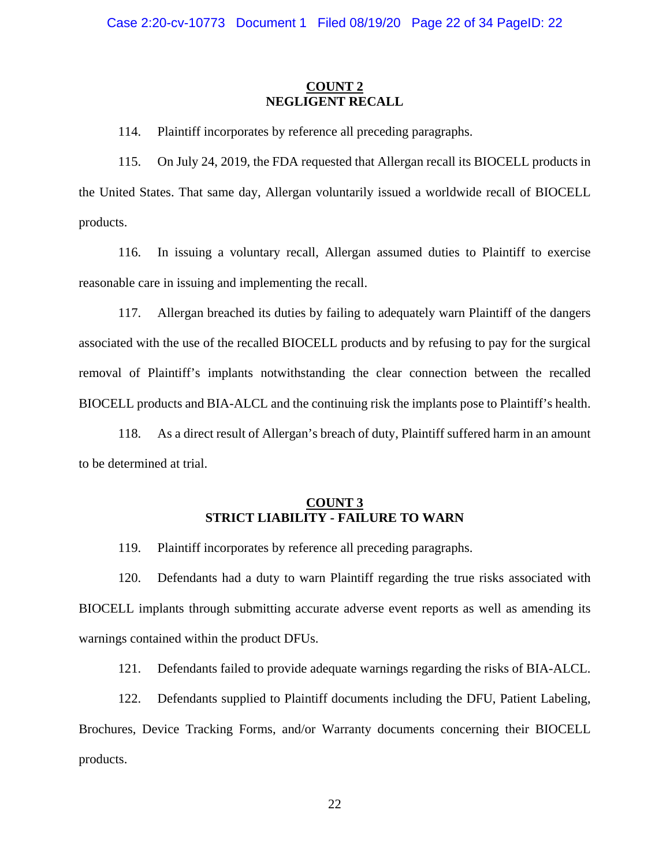### **COUNT 2 NEGLIGENT RECALL**

114. Plaintiff incorporates by reference all preceding paragraphs.

115. On July 24, 2019, the FDA requested that Allergan recall its BIOCELL products in the United States. That same day, Allergan voluntarily issued a worldwide recall of BIOCELL products.

116. In issuing a voluntary recall, Allergan assumed duties to Plaintiff to exercise reasonable care in issuing and implementing the recall.

117. Allergan breached its duties by failing to adequately warn Plaintiff of the dangers associated with the use of the recalled BIOCELL products and by refusing to pay for the surgical removal of Plaintiff's implants notwithstanding the clear connection between the recalled BIOCELL products and BIA-ALCL and the continuing risk the implants pose to Plaintiff's health.

118. As a direct result of Allergan's breach of duty, Plaintiff suffered harm in an amount to be determined at trial.

## **COUNT 3 STRICT LIABILITY - FAILURE TO WARN**

119. Plaintiff incorporates by reference all preceding paragraphs.

120. Defendants had a duty to warn Plaintiff regarding the true risks associated with BIOCELL implants through submitting accurate adverse event reports as well as amending its warnings contained within the product DFUs.

121. Defendants failed to provide adequate warnings regarding the risks of BIA-ALCL.

122. Defendants supplied to Plaintiff documents including the DFU, Patient Labeling, Brochures, Device Tracking Forms, and/or Warranty documents concerning their BIOCELL products.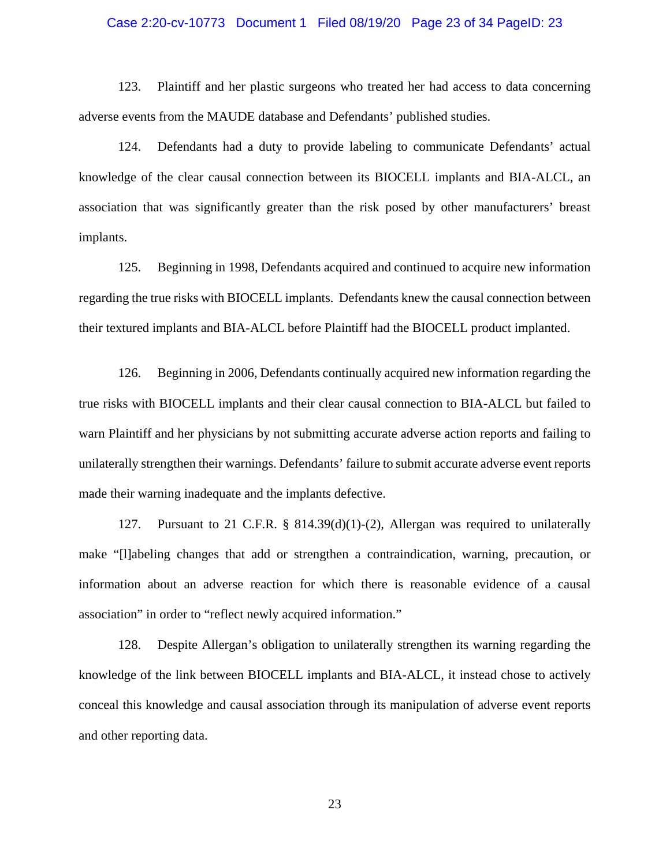### Case 2:20-cv-10773 Document 1 Filed 08/19/20 Page 23 of 34 PageID: 23

123. Plaintiff and her plastic surgeons who treated her had access to data concerning adverse events from the MAUDE database and Defendants' published studies.

124. Defendants had a duty to provide labeling to communicate Defendants' actual knowledge of the clear causal connection between its BIOCELL implants and BIA-ALCL, an association that was significantly greater than the risk posed by other manufacturers' breast implants.

125. Beginning in 1998, Defendants acquired and continued to acquire new information regarding the true risks with BIOCELL implants. Defendants knew the causal connection between their textured implants and BIA-ALCL before Plaintiff had the BIOCELL product implanted.

126. Beginning in 2006, Defendants continually acquired new information regarding the true risks with BIOCELL implants and their clear causal connection to BIA-ALCL but failed to warn Plaintiff and her physicians by not submitting accurate adverse action reports and failing to unilaterally strengthen their warnings. Defendants' failure to submit accurate adverse event reports made their warning inadequate and the implants defective.

127. Pursuant to 21 C.F.R. § 814.39(d)(1)-(2), Allergan was required to unilaterally make "[l]abeling changes that add or strengthen a contraindication, warning, precaution, or information about an adverse reaction for which there is reasonable evidence of a causal association" in order to "reflect newly acquired information."

128. Despite Allergan's obligation to unilaterally strengthen its warning regarding the knowledge of the link between BIOCELL implants and BIA-ALCL, it instead chose to actively conceal this knowledge and causal association through its manipulation of adverse event reports and other reporting data.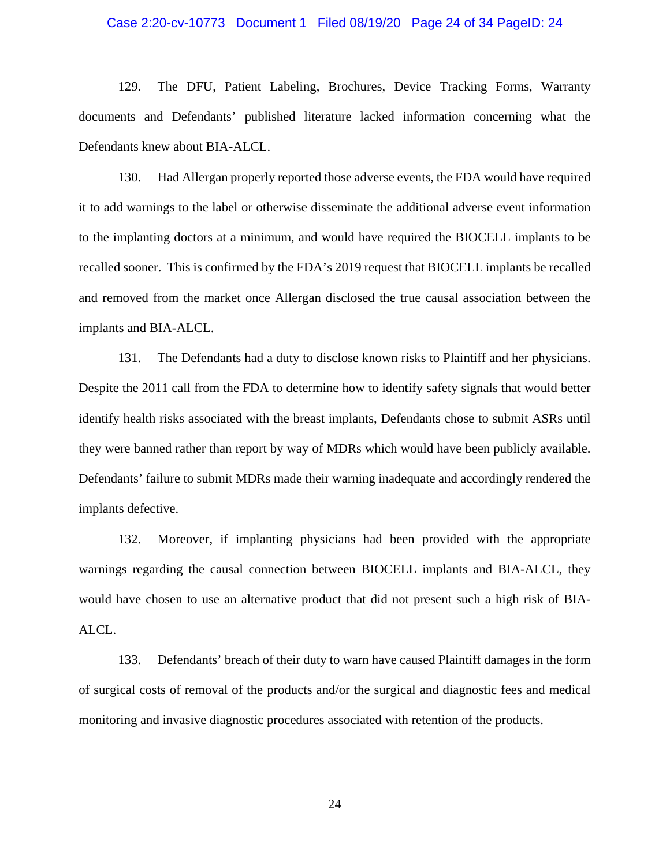### Case 2:20-cv-10773 Document 1 Filed 08/19/20 Page 24 of 34 PageID: 24

129. The DFU, Patient Labeling, Brochures, Device Tracking Forms, Warranty documents and Defendants' published literature lacked information concerning what the Defendants knew about BIA-ALCL.

130. Had Allergan properly reported those adverse events, the FDA would have required it to add warnings to the label or otherwise disseminate the additional adverse event information to the implanting doctors at a minimum, and would have required the BIOCELL implants to be recalled sooner. This is confirmed by the FDA's 2019 request that BIOCELL implants be recalled and removed from the market once Allergan disclosed the true causal association between the implants and BIA-ALCL.

131. The Defendants had a duty to disclose known risks to Plaintiff and her physicians. Despite the 2011 call from the FDA to determine how to identify safety signals that would better identify health risks associated with the breast implants, Defendants chose to submit ASRs until they were banned rather than report by way of MDRs which would have been publicly available. Defendants' failure to submit MDRs made their warning inadequate and accordingly rendered the implants defective.

132. Moreover, if implanting physicians had been provided with the appropriate warnings regarding the causal connection between BIOCELL implants and BIA-ALCL, they would have chosen to use an alternative product that did not present such a high risk of BIA-ALCL.

133. Defendants' breach of their duty to warn have caused Plaintiff damages in the form of surgical costs of removal of the products and/or the surgical and diagnostic fees and medical monitoring and invasive diagnostic procedures associated with retention of the products.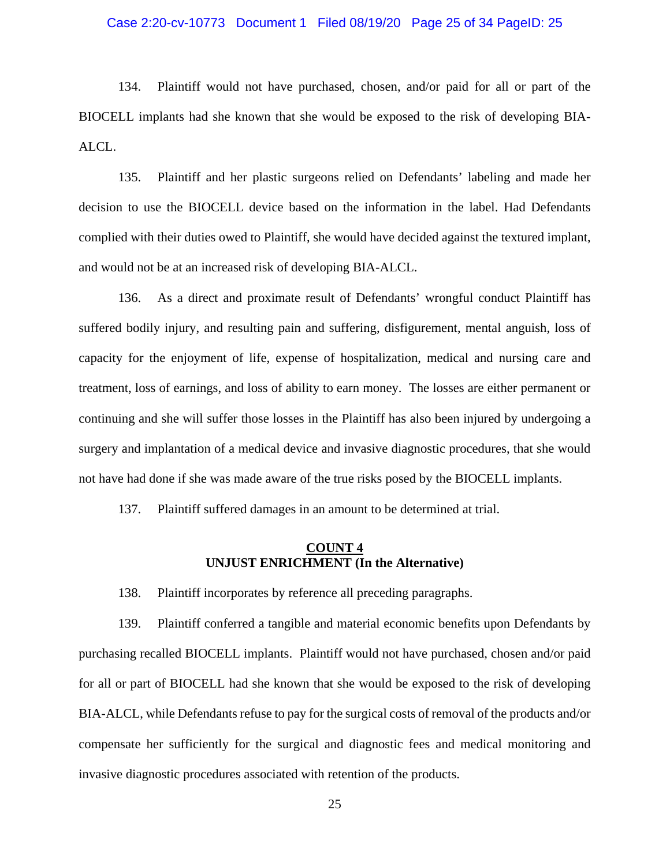### Case 2:20-cv-10773 Document 1 Filed 08/19/20 Page 25 of 34 PageID: 25

134. Plaintiff would not have purchased, chosen, and/or paid for all or part of the BIOCELL implants had she known that she would be exposed to the risk of developing BIA-ALCL.

135. Plaintiff and her plastic surgeons relied on Defendants' labeling and made her decision to use the BIOCELL device based on the information in the label. Had Defendants complied with their duties owed to Plaintiff, she would have decided against the textured implant, and would not be at an increased risk of developing BIA-ALCL.

136. As a direct and proximate result of Defendants' wrongful conduct Plaintiff has suffered bodily injury, and resulting pain and suffering, disfigurement, mental anguish, loss of capacity for the enjoyment of life, expense of hospitalization, medical and nursing care and treatment, loss of earnings, and loss of ability to earn money. The losses are either permanent or continuing and she will suffer those losses in the Plaintiff has also been injured by undergoing a surgery and implantation of a medical device and invasive diagnostic procedures, that she would not have had done if she was made aware of the true risks posed by the BIOCELL implants.

137. Plaintiff suffered damages in an amount to be determined at trial.

### **COUNT 4 UNJUST ENRICHMENT (In the Alternative)**

138. Plaintiff incorporates by reference all preceding paragraphs.

139. Plaintiff conferred a tangible and material economic benefits upon Defendants by purchasing recalled BIOCELL implants. Plaintiff would not have purchased, chosen and/or paid for all or part of BIOCELL had she known that she would be exposed to the risk of developing BIA-ALCL, while Defendants refuse to pay for the surgical costs of removal of the products and/or compensate her sufficiently for the surgical and diagnostic fees and medical monitoring and invasive diagnostic procedures associated with retention of the products.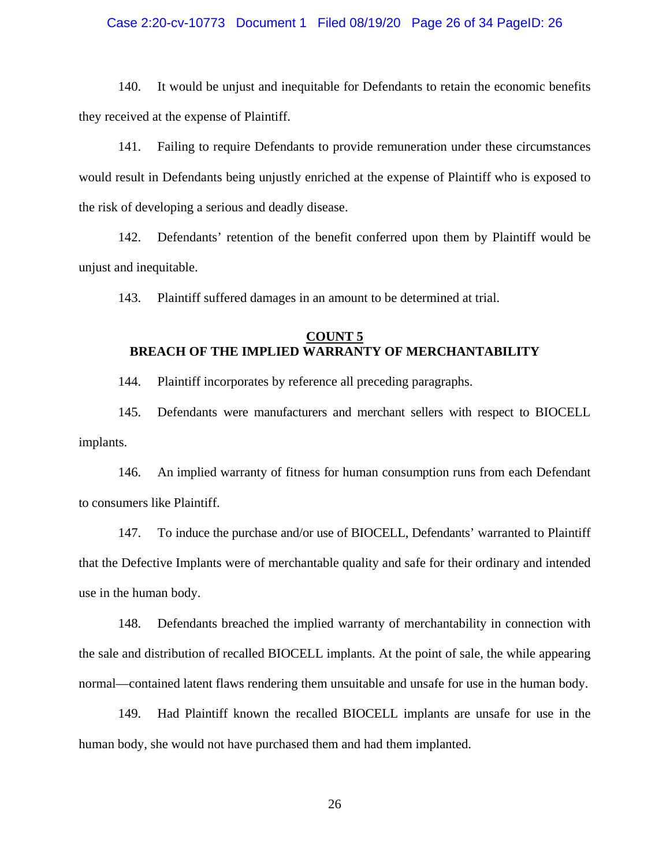### Case 2:20-cv-10773 Document 1 Filed 08/19/20 Page 26 of 34 PageID: 26

140. It would be unjust and inequitable for Defendants to retain the economic benefits they received at the expense of Plaintiff.

141. Failing to require Defendants to provide remuneration under these circumstances would result in Defendants being unjustly enriched at the expense of Plaintiff who is exposed to the risk of developing a serious and deadly disease.

142. Defendants' retention of the benefit conferred upon them by Plaintiff would be unjust and inequitable.

143. Plaintiff suffered damages in an amount to be determined at trial.

## **COUNT 5 BREACH OF THE IMPLIED WARRANTY OF MERCHANTABILITY**

144. Plaintiff incorporates by reference all preceding paragraphs.

145. Defendants were manufacturers and merchant sellers with respect to BIOCELL implants.

146. An implied warranty of fitness for human consumption runs from each Defendant to consumers like Plaintiff.

147. To induce the purchase and/or use of BIOCELL, Defendants' warranted to Plaintiff that the Defective Implants were of merchantable quality and safe for their ordinary and intended use in the human body.

148. Defendants breached the implied warranty of merchantability in connection with the sale and distribution of recalled BIOCELL implants. At the point of sale, the while appearing normal—contained latent flaws rendering them unsuitable and unsafe for use in the human body.

149. Had Plaintiff known the recalled BIOCELL implants are unsafe for use in the human body, she would not have purchased them and had them implanted.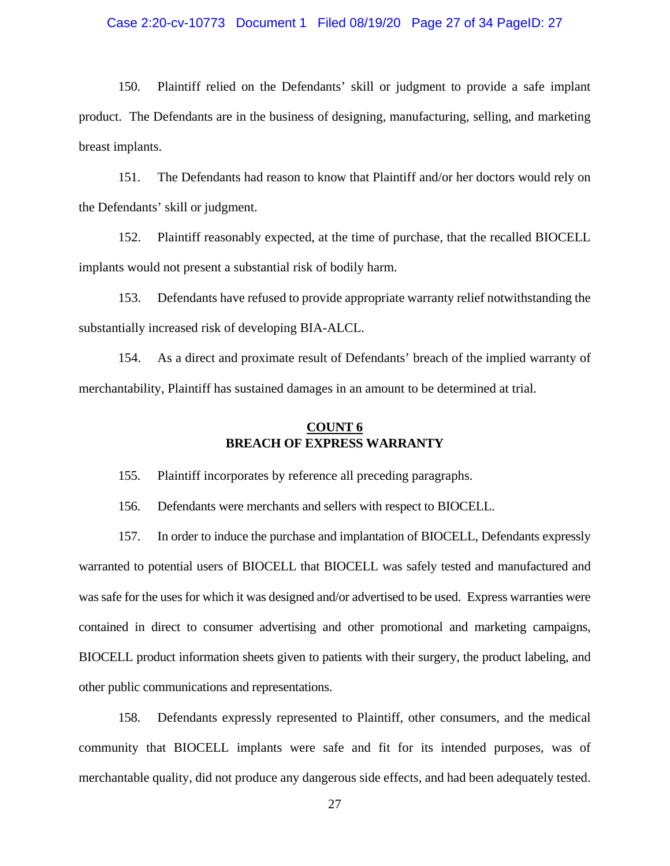### Case 2:20-cv-10773 Document 1 Filed 08/19/20 Page 27 of 34 PageID: 27

150. Plaintiff relied on the Defendants' skill or judgment to provide a safe implant product. The Defendants are in the business of designing, manufacturing, selling, and marketing breast implants.

151. The Defendants had reason to know that Plaintiff and/or her doctors would rely on the Defendants' skill or judgment.

152. Plaintiff reasonably expected, at the time of purchase, that the recalled BIOCELL implants would not present a substantial risk of bodily harm.

153. Defendants have refused to provide appropriate warranty relief notwithstanding the substantially increased risk of developing BIA-ALCL.

154. As a direct and proximate result of Defendants' breach of the implied warranty of merchantability, Plaintiff has sustained damages in an amount to be determined at trial.

# **COUNT 6 BREACH OF EXPRESS WARRANTY**

155. Plaintiff incorporates by reference all preceding paragraphs.

156. Defendants were merchants and sellers with respect to BIOCELL.

157. In order to induce the purchase and implantation of BIOCELL, Defendants expressly warranted to potential users of BIOCELL that BIOCELL was safely tested and manufactured and was safe for the uses for which it was designed and/or advertised to be used. Express warranties were contained in direct to consumer advertising and other promotional and marketing campaigns, BIOCELL product information sheets given to patients with their surgery, the product labeling, and other public communications and representations.

158. Defendants expressly represented to Plaintiff, other consumers, and the medical community that BIOCELL implants were safe and fit for its intended purposes, was of merchantable quality, did not produce any dangerous side effects, and had been adequately tested.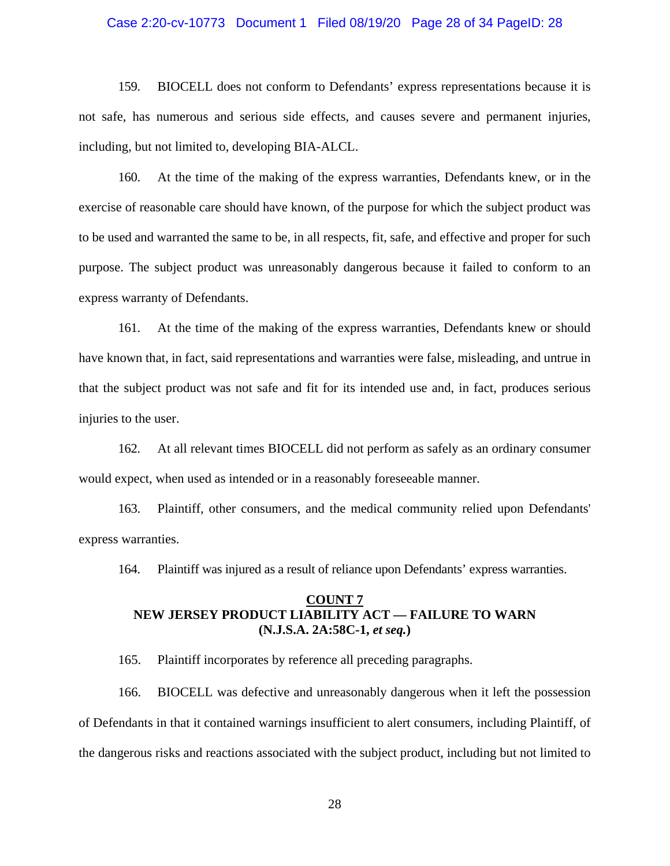### Case 2:20-cv-10773 Document 1 Filed 08/19/20 Page 28 of 34 PageID: 28

159. BIOCELL does not conform to Defendants' express representations because it is not safe, has numerous and serious side effects, and causes severe and permanent injuries, including, but not limited to, developing BIA-ALCL.

160. At the time of the making of the express warranties, Defendants knew, or in the exercise of reasonable care should have known, of the purpose for which the subject product was to be used and warranted the same to be, in all respects, fit, safe, and effective and proper for such purpose. The subject product was unreasonably dangerous because it failed to conform to an express warranty of Defendants.

161. At the time of the making of the express warranties, Defendants knew or should have known that, in fact, said representations and warranties were false, misleading, and untrue in that the subject product was not safe and fit for its intended use and, in fact, produces serious injuries to the user.

162. At all relevant times BIOCELL did not perform as safely as an ordinary consumer would expect, when used as intended or in a reasonably foreseeable manner.

163. Plaintiff, other consumers, and the medical community relied upon Defendants' express warranties.

164. Plaintiff was injured as a result of reliance upon Defendants' express warranties.

### **COUNT 7 NEW JERSEY PRODUCT LIABILITY ACT — FAILURE TO WARN (N.J.S.A. 2A:58C-1,** *et seq.***)**

165. Plaintiff incorporates by reference all preceding paragraphs.

166. BIOCELL was defective and unreasonably dangerous when it left the possession of Defendants in that it contained warnings insufficient to alert consumers, including Plaintiff, of the dangerous risks and reactions associated with the subject product, including but not limited to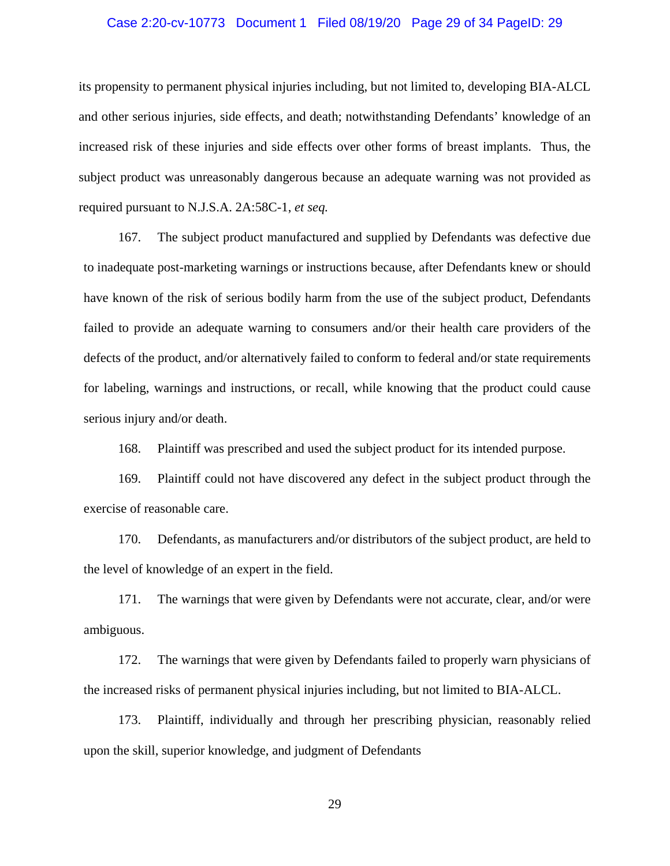### Case 2:20-cv-10773 Document 1 Filed 08/19/20 Page 29 of 34 PageID: 29

its propensity to permanent physical injuries including, but not limited to, developing BIA-ALCL and other serious injuries, side effects, and death; notwithstanding Defendants' knowledge of an increased risk of these injuries and side effects over other forms of breast implants. Thus, the subject product was unreasonably dangerous because an adequate warning was not provided as required pursuant to N.J.S.A. 2A:58C-1, *et seq.*

167. The subject product manufactured and supplied by Defendants was defective due to inadequate post-marketing warnings or instructions because, after Defendants knew or should have known of the risk of serious bodily harm from the use of the subject product, Defendants failed to provide an adequate warning to consumers and/or their health care providers of the defects of the product, and/or alternatively failed to conform to federal and/or state requirements for labeling, warnings and instructions, or recall, while knowing that the product could cause serious injury and/or death.

168. Plaintiff was prescribed and used the subject product for its intended purpose.

169. Plaintiff could not have discovered any defect in the subject product through the exercise of reasonable care.

170. Defendants, as manufacturers and/or distributors of the subject product, are held to the level of knowledge of an expert in the field.

171. The warnings that were given by Defendants were not accurate, clear, and/or were ambiguous.

172. The warnings that were given by Defendants failed to properly warn physicians of the increased risks of permanent physical injuries including, but not limited to BIA-ALCL.

173. Plaintiff, individually and through her prescribing physician, reasonably relied upon the skill, superior knowledge, and judgment of Defendants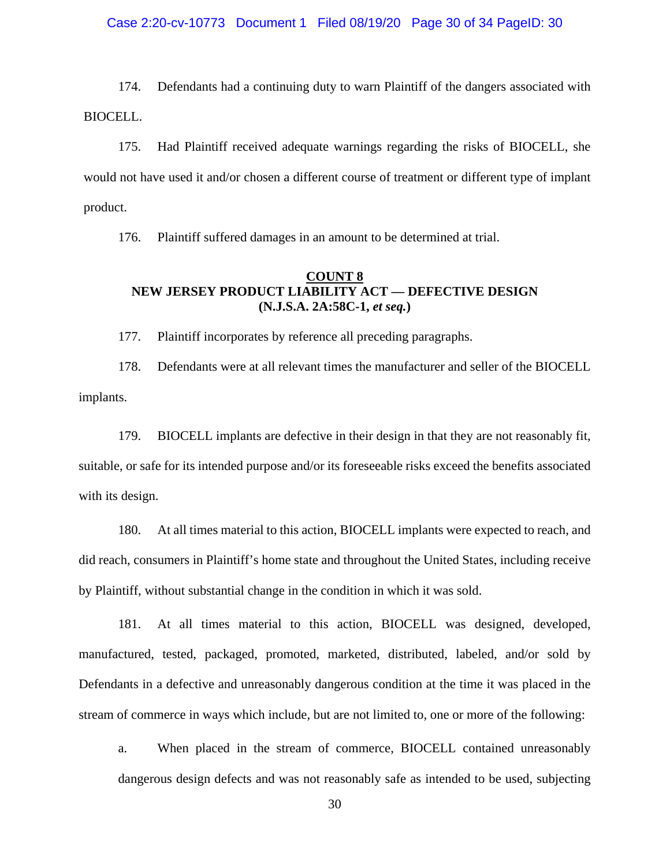Case 2:20-cv-10773 Document 1 Filed 08/19/20 Page 30 of 34 PageID: 30

174. Defendants had a continuing duty to warn Plaintiff of the dangers associated with BIOCELL.

175. Had Plaintiff received adequate warnings regarding the risks of BIOCELL, she would not have used it and/or chosen a different course of treatment or different type of implant product.

176. Plaintiff suffered damages in an amount to be determined at trial.

# **COUNT 8 NEW JERSEY PRODUCT LIABILITY ACT — DEFECTIVE DESIGN (N.J.S.A. 2A:58C-1,** *et seq.***)**

177. Plaintiff incorporates by reference all preceding paragraphs.

178. Defendants were at all relevant times the manufacturer and seller of the BIOCELL implants.

179. BIOCELL implants are defective in their design in that they are not reasonably fit, suitable, or safe for its intended purpose and/or its foreseeable risks exceed the benefits associated with its design.

180. At all times material to this action, BIOCELL implants were expected to reach, and did reach, consumers in Plaintiff's home state and throughout the United States, including receive by Plaintiff, without substantial change in the condition in which it was sold.

181. At all times material to this action, BIOCELL was designed, developed, manufactured, tested, packaged, promoted, marketed, distributed, labeled, and/or sold by Defendants in a defective and unreasonably dangerous condition at the time it was placed in the stream of commerce in ways which include, but are not limited to, one or more of the following:

a. When placed in the stream of commerce, BIOCELL contained unreasonably dangerous design defects and was not reasonably safe as intended to be used, subjecting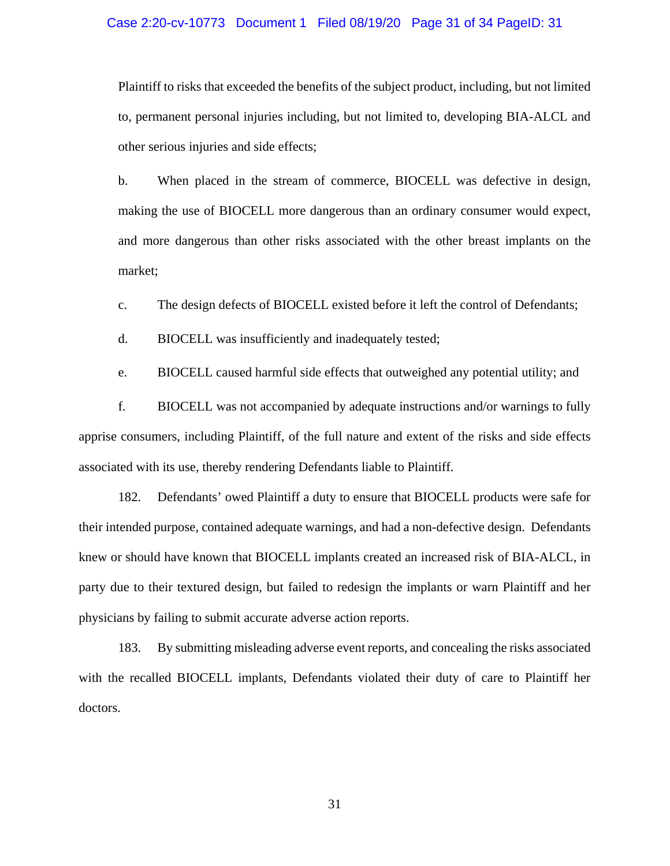### Case 2:20-cv-10773 Document 1 Filed 08/19/20 Page 31 of 34 PageID: 31

Plaintiff to risks that exceeded the benefits of the subject product, including, but not limited to, permanent personal injuries including, but not limited to, developing BIA-ALCL and other serious injuries and side effects;

b. When placed in the stream of commerce, BIOCELL was defective in design, making the use of BIOCELL more dangerous than an ordinary consumer would expect, and more dangerous than other risks associated with the other breast implants on the market;

c. The design defects of BIOCELL existed before it left the control of Defendants;

d. BIOCELL was insufficiently and inadequately tested;

e. BIOCELL caused harmful side effects that outweighed any potential utility; and

f. BIOCELL was not accompanied by adequate instructions and/or warnings to fully apprise consumers, including Plaintiff, of the full nature and extent of the risks and side effects associated with its use, thereby rendering Defendants liable to Plaintiff.

182. Defendants' owed Plaintiff a duty to ensure that BIOCELL products were safe for their intended purpose, contained adequate warnings, and had a non-defective design. Defendants knew or should have known that BIOCELL implants created an increased risk of BIA-ALCL, in party due to their textured design, but failed to redesign the implants or warn Plaintiff and her physicians by failing to submit accurate adverse action reports.

183. By submitting misleading adverse event reports, and concealing the risks associated with the recalled BIOCELL implants, Defendants violated their duty of care to Plaintiff her doctors.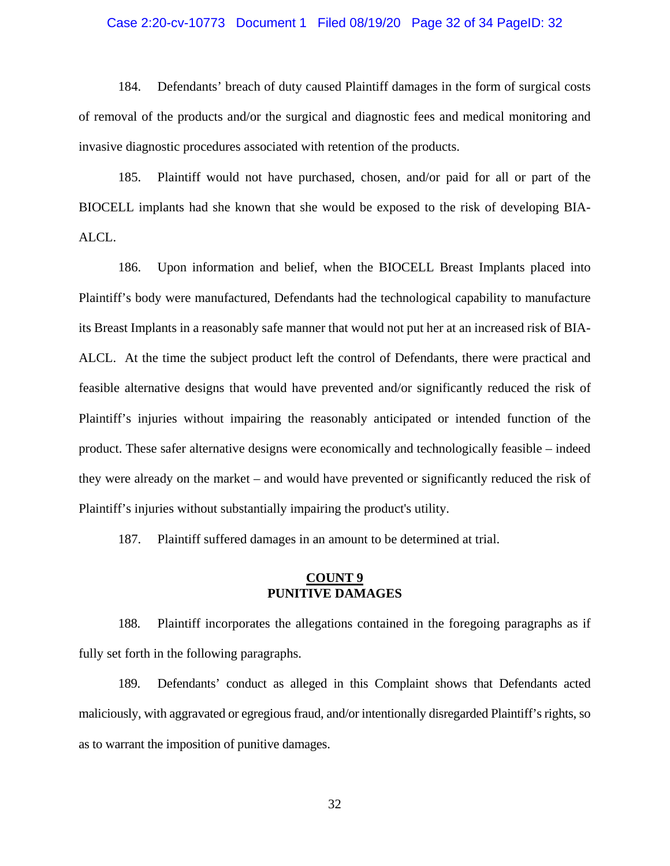### Case 2:20-cv-10773 Document 1 Filed 08/19/20 Page 32 of 34 PageID: 32

184. Defendants' breach of duty caused Plaintiff damages in the form of surgical costs of removal of the products and/or the surgical and diagnostic fees and medical monitoring and invasive diagnostic procedures associated with retention of the products.

185. Plaintiff would not have purchased, chosen, and/or paid for all or part of the BIOCELL implants had she known that she would be exposed to the risk of developing BIA-ALCL.

186. Upon information and belief, when the BIOCELL Breast Implants placed into Plaintiff's body were manufactured, Defendants had the technological capability to manufacture its Breast Implants in a reasonably safe manner that would not put her at an increased risk of BIA-ALCL. At the time the subject product left the control of Defendants, there were practical and feasible alternative designs that would have prevented and/or significantly reduced the risk of Plaintiff's injuries without impairing the reasonably anticipated or intended function of the product. These safer alternative designs were economically and technologically feasible – indeed they were already on the market – and would have prevented or significantly reduced the risk of Plaintiff's injuries without substantially impairing the product's utility.

187. Plaintiff suffered damages in an amount to be determined at trial.

# **COUNT 9 PUNITIVE DAMAGES**

188. Plaintiff incorporates the allegations contained in the foregoing paragraphs as if fully set forth in the following paragraphs.

189. Defendants' conduct as alleged in this Complaint shows that Defendants acted maliciously, with aggravated or egregious fraud, and/or intentionally disregarded Plaintiff's rights, so as to warrant the imposition of punitive damages.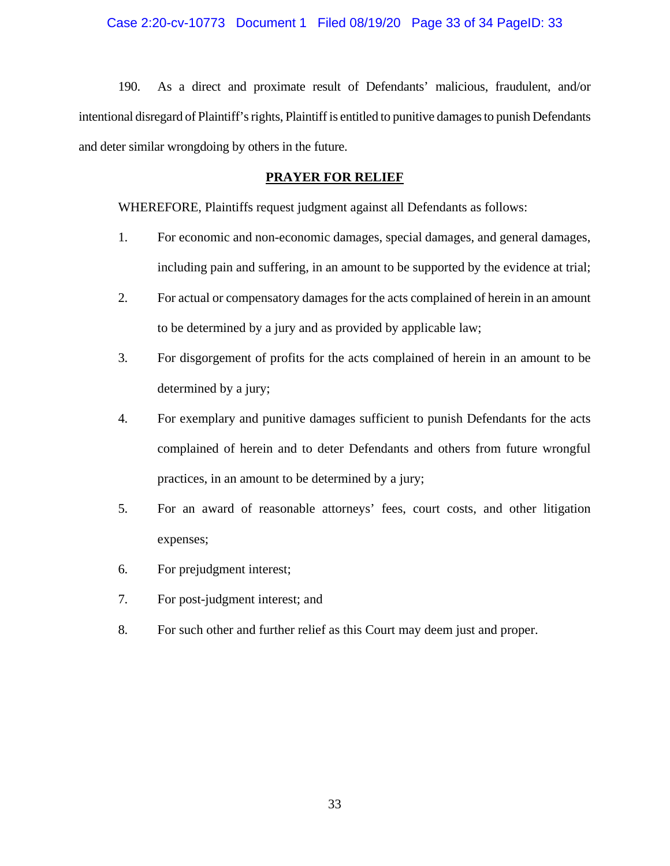### Case 2:20-cv-10773 Document 1 Filed 08/19/20 Page 33 of 34 PageID: 33

190. As a direct and proximate result of Defendants' malicious, fraudulent, and/or intentional disregard of Plaintiff's rights, Plaintiff is entitled to punitive damages to punish Defendants and deter similar wrongdoing by others in the future.

# **PRAYER FOR RELIEF**

WHEREFORE, Plaintiffs request judgment against all Defendants as follows:

- 1. For economic and non-economic damages, special damages, and general damages, including pain and suffering, in an amount to be supported by the evidence at trial;
- 2. For actual or compensatory damages for the acts complained of herein in an amount to be determined by a jury and as provided by applicable law;
- 3. For disgorgement of profits for the acts complained of herein in an amount to be determined by a jury;
- 4. For exemplary and punitive damages sufficient to punish Defendants for the acts complained of herein and to deter Defendants and others from future wrongful practices, in an amount to be determined by a jury;
- 5. For an award of reasonable attorneys' fees, court costs, and other litigation expenses;
- 6. For prejudgment interest;
- 7. For post-judgment interest; and
- 8. For such other and further relief as this Court may deem just and proper.